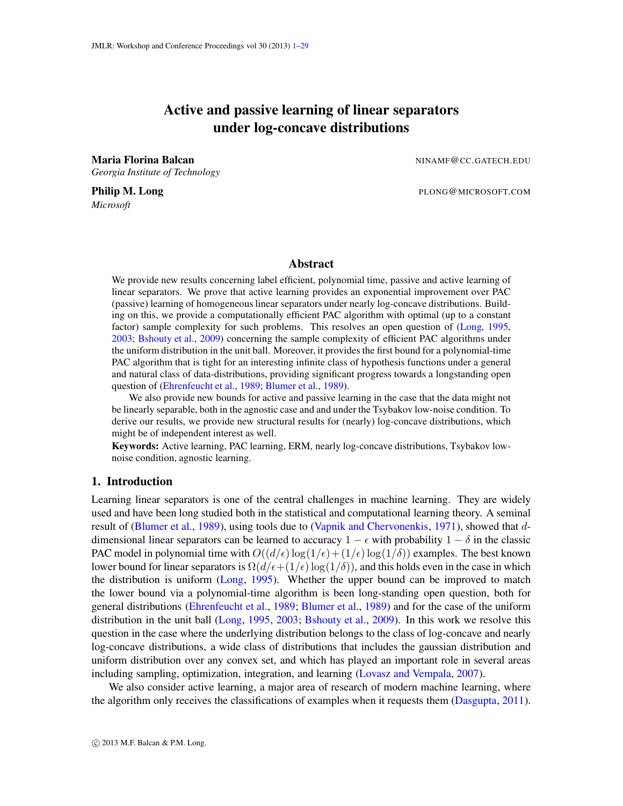# Active and passive learning of linear separators under log-concave distributions

<span id="page-0-0"></span>Maria Florina Balcan NINAME CC.GATECH.EDU *Georgia Institute of Technology*

*Microsoft*

**Philip M. Long** PLONG@MICROSOFT.COM

# Abstract

We provide new results concerning label efficient, polynomial time, passive and active learning of linear separators. We prove that active learning provides an exponential improvement over PAC (passive) learning of homogeneous linear separators under nearly log-concave distributions. Building on this, we provide a computationally efficient PAC algorithm with optimal (up to a constant factor) sample complexity for such problems. This resolves an open question of [\(Long,](#page-14-0) [1995,](#page-14-0) [2003;](#page-14-1) [Bshouty et al.,](#page-13-0) [2009\)](#page-13-0) concerning the sample complexity of efficient PAC algorithms under the uniform distribution in the unit ball. Moreover, it provides the first bound for a polynomial-time PAC algorithm that is tight for an interesting infinite class of hypothesis functions under a general and natural class of data-distributions, providing significant progress towards a longstanding open question of [\(Ehrenfeucht et al.,](#page-13-1) [1989;](#page-13-1) [Blumer et al.,](#page-13-2) [1989\)](#page-13-2).

We also provide new bounds for active and passive learning in the case that the data might not be linearly separable, both in the agnostic case and and under the Tsybakov low-noise condition. To derive our results, we provide new structural results for (nearly) log-concave distributions, which might be of independent interest as well.

Keywords: Active learning, PAC learning, ERM, nearly log-concave distributions, Tsybakov lownoise condition, agnostic learning.

## 1. Introduction

Learning linear separators is one of the central challenges in machine learning. They are widely used and have been long studied both in the statistical and computational learning theory. A seminal result of [\(Blumer et al.](#page-13-2), [1989](#page-13-2)), using tools due to [\(Vapnik and Chervonenkis](#page-15-0), [1971\)](#page-15-0), showed that ddimensional linear separators can be learned to accuracy  $1 - \epsilon$  with probability  $1 - \delta$  in the classic PAC model in polynomial time with  $O((d/\epsilon) \log(1/\epsilon) + (1/\epsilon) \log(1/\delta))$  examples. The best known lower bound for linear separators is  $\Omega(d/\epsilon+(1/\epsilon)\log(1/\delta))$ , and this holds even in the case in which the distribution is uniform [\(Long](#page-14-0), [1995](#page-14-0)). Whether the upper bound can be improved to match the lower bound via a polynomial-time algorithm is been long-standing open question, both for general distributions [\(Ehrenfeucht et al.](#page-13-1), [1989](#page-13-1); [Blumer et al.,](#page-13-2) [1989](#page-13-2)) and for the case of the uniform distribution in the unit ball [\(Long,](#page-14-0) [1995](#page-14-0), [2003](#page-14-1); [Bshouty et al.](#page-13-0), [2009\)](#page-13-0). In this work we resolve this question in the case where the underlying distribution belongs to the class of log-concave and nearly log-concave distributions, a wide class of distributions that includes the gaussian distribution and uniform distribution over any convex set, and which has played an important role in several areas including sampling, optimization, integration, and learning [\(Lovasz and Vempala,](#page-14-2) [2007\)](#page-14-2).

We also consider active learning, a major area of research of modern machine learning, where the algorithm only receives the classifications of examples when it requests them [\(Dasgupta](#page-13-3), [2011](#page-13-3)).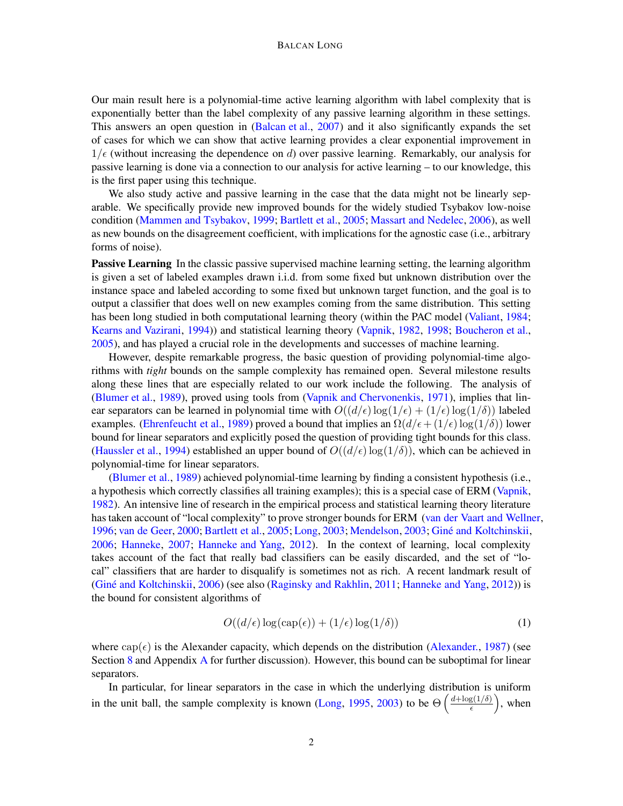#### BALCAN LONG

Our main result here is a polynomial-time active learning algorithm with label complexity that is exponentially better than the label complexity of any passive learning algorithm in these settings. This answers an open question in [\(Balcan et al.](#page-13-4), [2007\)](#page-13-4) and it also significantly expands the set of cases for which we can show that active learning provides a clear exponential improvement in  $1/\epsilon$  (without increasing the dependence on d) over passive learning. Remarkably, our analysis for passive learning is done via a connection to our analysis for active learning – to our knowledge, this is the first paper using this technique.

We also study active and passive learning in the case that the data might not be linearly separable. We specifically provide new improved bounds for the widely studied Tsybakov low-noise condition [\(Mammen and Tsybakov](#page-15-1), [1999](#page-15-1); [Bartlett et al.](#page-13-5), [2005](#page-13-5); [Massart and Nedelec](#page-15-2), [2006\)](#page-15-2), as well as new bounds on the disagreement coefficient, with implications for the agnostic case (i.e., arbitrary forms of noise).

Passive Learning In the classic passive supervised machine learning setting, the learning algorithm is given a set of labeled examples drawn i.i.d. from some fixed but unknown distribution over the instance space and labeled according to some fixed but unknown target function, and the goal is to output a classifier that does well on new examples coming from the same distribution. This setting has been long studied in both computational learning theory (within the PAC model [\(Valiant,](#page-15-3) [1984](#page-15-3); [Kearns and Vazirani](#page-14-3), [1994](#page-14-3))) and statistical learning theory [\(Vapnik](#page-15-4), [1982](#page-15-4), [1998](#page-15-5); [Boucheron et al.](#page-13-6), [2005\)](#page-13-6), and has played a crucial role in the developments and successes of machine learning.

However, despite remarkable progress, the basic question of providing polynomial-time algorithms with *tight* bounds on the sample complexity has remained open. Several milestone results along these lines that are especially related to our work include the following. The analysis of [\(Blumer et al.](#page-13-2), [1989](#page-13-2)), proved using tools from [\(Vapnik and Chervonenkis](#page-15-0), [1971](#page-15-0)), implies that linear separators can be learned in polynomial time with  $O((d/\epsilon) \log(1/\epsilon) + (1/\epsilon) \log(1/\delta))$  labeled examples. [\(Ehrenfeucht et al.,](#page-13-1) [1989](#page-13-1)) proved a bound that implies an  $\Omega(d/\epsilon + (1/\epsilon) \log(1/\delta))$  lower bound for linear separators and explicitly posed the question of providing tight bounds for this class. [\(Haussler et al.,](#page-14-4) [1994](#page-14-4)) established an upper bound of  $O((d/\epsilon) \log(1/\delta))$ , which can be achieved in polynomial-time for linear separators.

[\(Blumer et al.](#page-13-2), [1989](#page-13-2)) achieved polynomial-time learning by finding a consistent hypothesis (i.e., a hypothesis which correctly classifies all training examples); this is a special case of ERM [\(Vapnik](#page-15-4), [1982\)](#page-15-4). An intensive line of research in the empirical process and statistical learning theory literature has taken account of "local complexity" to prove stronger bounds for ERM [\(van der Vaart and Wellner](#page-15-6), [1996;](#page-15-6) [van de Geer](#page-15-7), [2000;](#page-15-7) [Bartlett et al.,](#page-13-5) [2005](#page-13-5); [Long](#page-14-1), [2003](#page-15-8); [Mendelson](#page-15-8), 2003; Giné and Koltchinskii, [2006;](#page-14-5) [Hanneke](#page-14-6), [2007](#page-14-6); [Hanneke and Yang](#page-14-7), [2012](#page-14-7)). In the context of learning, local complexity takes account of the fact that really bad classifiers can be easily discarded, and the set of "local" classifiers that are harder to disqualify is sometimes not as rich. A recent landmark result of (Giné and Koltchinskii, [2006](#page-14-5)) (see also [\(Raginsky and Rakhlin](#page-15-9), [2011](#page-15-9); [Hanneke and Yang](#page-14-7), [2012\)](#page-14-7)) is the bound for consistent algorithms of

<span id="page-1-0"></span>
$$
O((d/\epsilon)\log(\text{cap}(\epsilon)) + (1/\epsilon)\log(1/\delta))\tag{1}
$$

where  $cap(\epsilon)$  is the Alexander capacity, which depends on the distribution [\(Alexander.](#page-12-0), [1987\)](#page-12-0) (see Section [8](#page-11-0) and [A](#page-15-10)ppendix A for further discussion). However, this bound can be suboptimal for linear separators.

In particular, for linear separators in the case in which the underlying distribution is uniform in the unit ball, the sample complexity is known [\(Long](#page-14-0), [1995](#page-14-0), [2003](#page-14-1)) to be  $\Theta\left(\frac{d + \log(1/\delta)}{\epsilon}\right)$  $\frac{g(1/\delta)}{\epsilon}$ , when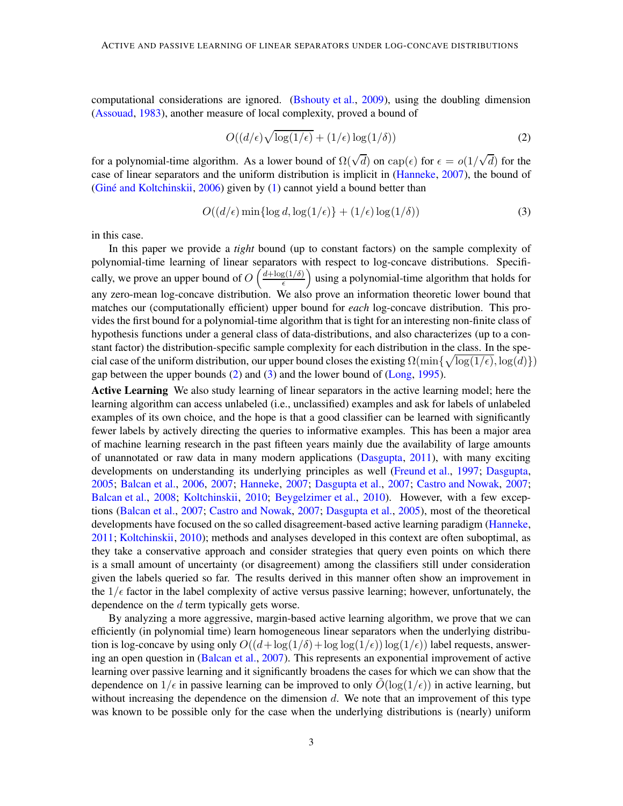computational considerations are ignored. [\(Bshouty et al.,](#page-13-0) [2009](#page-13-0)), using the doubling dimension [\(Assouad](#page-12-1), [1983](#page-12-1)), another measure of local complexity, proved a bound of

<span id="page-2-0"></span>
$$
O((d/\epsilon)\sqrt{\log(1/\epsilon)} + (1/\epsilon)\log(1/\delta))
$$
\n(2)

for a polynomial-time algorithm. As a lower bound of  $\Omega(\sqrt{d})$  on  $cap(\epsilon)$  for  $\epsilon = o(1/\sqrt{d})$  for the case of linear separators and the uniform distribution is implicit in [\(Hanneke](#page-14-6), [2007](#page-14-6)), the bound of (Giné and Koltchinskii, [2006\)](#page-14-5) given by  $(1)$  cannot yield a bound better than

<span id="page-2-1"></span>
$$
O((d/\epsilon)\min\{\log d, \log(1/\epsilon)\} + (1/\epsilon)\log(1/\delta))
$$
\n(3)

in this case.

In this paper we provide a *tight* bound (up to constant factors) on the sample complexity of polynomial-time learning of linear separators with respect to log-concave distributions. Specifically, we prove an upper bound of  $O\left(\frac{d + \log(1/\delta)}{\epsilon}\right)$  $\frac{g(1/\delta)}{\epsilon}$  using a polynomial-time algorithm that holds for any zero-mean log-concave distribution. We also prove an information theoretic lower bound that matches our (computationally efficient) upper bound for *each* log-concave distribution. This provides the first bound for a polynomial-time algorithm that istight for an interesting non-finite class of hypothesis functions under a general class of data-distributions, and also characterizes (up to a constant factor) the distribution-specific sample complexity for each distribution in the class. In the special case of the uniform distribution, our upper bound closes the existing  $\Omega(\min\{\sqrt{\log(1/\epsilon)},\log(d)\})$ gap between the upper bounds  $(2)$  and  $(3)$  and the lower bound of [\(Long](#page-14-0), [1995](#page-14-0)).

Active Learning We also study learning of linear separators in the active learning model; here the learning algorithm can access unlabeled (i.e., unclassified) examples and ask for labels of unlabeled examples of its own choice, and the hope is that a good classifier can be learned with significantly fewer labels by actively directing the queries to informative examples. This has been a major area of machine learning research in the past fifteen years mainly due the availability of large amounts of unannotated or raw data in many modern applications [\(Dasgupta](#page-13-3), [2011](#page-13-3)), with many exciting developments on understanding its underlying principles as well [\(Freund et al.](#page-13-7), [1997](#page-13-7); [Dasgupta](#page-13-8), [2005;](#page-13-8) [Balcan et al.,](#page-13-9) [2006](#page-13-9), [2007](#page-13-4); [Hanneke](#page-14-6), [2007](#page-14-6); [Dasgupta et al.,](#page-13-10) [2007](#page-13-10); [Castro and Nowak,](#page-13-11) [2007](#page-13-11); [Balcan et al.](#page-13-12), [2008](#page-13-12); [Koltchinskii](#page-14-8), [2010;](#page-14-8) [Beygelzimer et al.,](#page-13-13) [2010\)](#page-13-13). However, with a few exceptions [\(Balcan et al.](#page-13-4), [2007;](#page-13-4) [Castro and Nowak,](#page-13-11) [2007](#page-13-11); [Dasgupta et al.,](#page-13-14) [2005](#page-13-14)), most of the theoretical developments have focused on the so called disagreement-based active learning paradigm [\(Hanneke](#page-14-9), [2011;](#page-14-9) [Koltchinskii](#page-14-8), [2010](#page-14-8)); methods and analyses developed in this context are often suboptimal, as they take a conservative approach and consider strategies that query even points on which there is a small amount of uncertainty (or disagreement) among the classifiers still under consideration given the labels queried so far. The results derived in this manner often show an improvement in the  $1/\epsilon$  factor in the label complexity of active versus passive learning; however, unfortunately, the dependence on the d term typically gets worse.

By analyzing a more aggressive, margin-based active learning algorithm, we prove that we can efficiently (in polynomial time) learn homogeneous linear separators when the underlying distribution is log-concave by using only  $O((d + \log(1/\delta) + \log \log(1/\epsilon)) \log(1/\epsilon))$  label requests, answering an open question in [\(Balcan et al.](#page-13-4), [2007](#page-13-4)). This represents an exponential improvement of active learning over passive learning and it significantly broadens the cases for which we can show that the dependence on  $1/\epsilon$  in passive learning can be improved to only  $O(\log(1/\epsilon))$  in active learning, but without increasing the dependence on the dimension  $d$ . We note that an improvement of this type was known to be possible only for the case when the underlying distributions is (nearly) uniform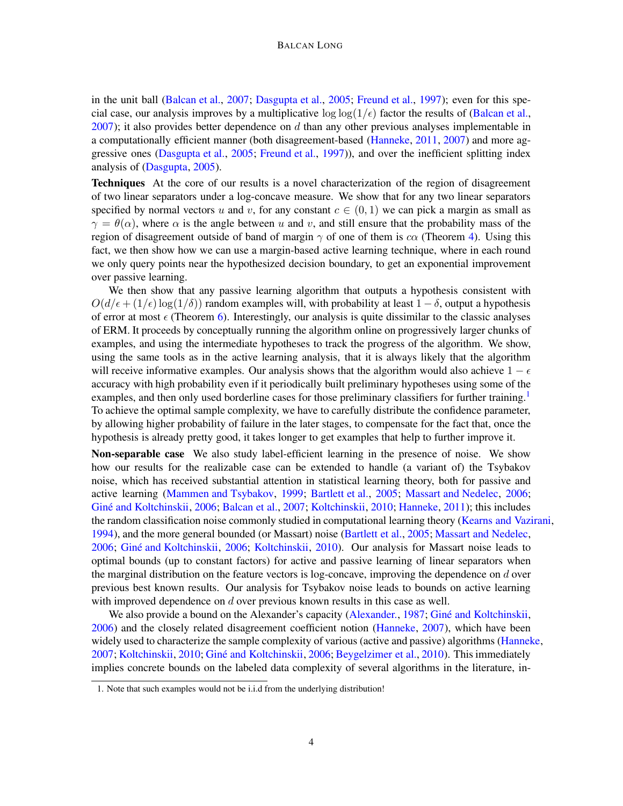in the unit ball [\(Balcan et al.,](#page-13-4) [2007](#page-13-4); [Dasgupta et al.,](#page-13-14) [2005;](#page-13-14) [Freund et al.](#page-13-7), [1997](#page-13-7)); even for this special case, our analysis improves by a multiplicative  $\log \log(1/\epsilon)$  factor the results of [\(Balcan et al.](#page-13-4),  $2007$ ); it also provides better dependence on d than any other previous analyses implementable in a computationally efficient manner (both disagreement-based [\(Hanneke,](#page-14-9) [2011](#page-14-9), [2007\)](#page-14-6) and more aggressive ones [\(Dasgupta et al.](#page-13-14), [2005](#page-13-14); [Freund et al.,](#page-13-7) [1997\)](#page-13-7)), and over the inefficient splitting index analysis of [\(Dasgupta](#page-13-8), [2005\)](#page-13-8).

Techniques At the core of our results is a novel characterization of the region of disagreement of two linear separators under a log-concave measure. We show that for any two linear separators specified by normal vectors u and v, for any constant  $c \in (0, 1)$  we can pick a margin as small as  $\gamma = \theta(\alpha)$ , where  $\alpha$  is the angle between u and v, and still ensure that the probability mass of the region of disagreement outside of band of margin  $\gamma$  of one of them is c $\alpha$  (Theorem [4\)](#page-5-0). Using this fact, we then show how we can use a margin-based active learning technique, where in each round we only query points near the hypothesized decision boundary, to get an exponential improvement over passive learning.

We then show that any passive learning algorithm that outputs a hypothesis consistent with  $O(d\epsilon + (1/\epsilon) \log(1/\delta))$  random examples will, with probability at least  $1 - \delta$ , output a hypothesis of error at most  $\epsilon$  (Theorem [6\)](#page-8-0). Interestingly, our analysis is quite dissimilar to the classic analyses of ERM. It proceeds by conceptually running the algorithm online on progressively larger chunks of examples, and using the intermediate hypotheses to track the progress of the algorithm. We show, using the same tools as in the active learning analysis, that it is always likely that the algorithm will receive informative examples. Our analysis shows that the algorithm would also achieve  $1 - \epsilon$ accuracy with high probability even if it periodically built preliminary hypotheses using some of the examples, and then only used borderline cases for those preliminary classifiers for further training.<sup>[1](#page-3-0)</sup> To achieve the optimal sample complexity, we have to carefully distribute the confidence parameter, by allowing higher probability of failure in the later stages, to compensate for the fact that, once the hypothesis is already pretty good, it takes longer to get examples that help to further improve it.

Non-separable case We also study label-efficient learning in the presence of noise. We show how our results for the realizable case can be extended to handle (a variant of) the Tsybakov noise, which has received substantial attention in statistical learning theory, both for passive and active learning [\(Mammen and Tsybakov](#page-15-1), [1999](#page-15-1); [Bartlett et al.](#page-13-5), [2005](#page-13-5); [Massart and Nedelec](#page-15-2), [2006](#page-15-2); Giné and Koltchinskii, [2006](#page-14-5); [Balcan et al.](#page-13-4), [2007](#page-13-4); [Koltchinskii](#page-14-8), [2010](#page-14-8); [Hanneke,](#page-14-9) [2011\)](#page-14-9); this includes the random classification noise commonly studied in computational learning theory [\(Kearns and Vazirani,](#page-14-3) [1994\)](#page-14-3), and the more general bounded (or Massart) noise [\(Bartlett et al.](#page-13-5), [2005](#page-13-5); [Massart and Nedelec](#page-15-2), [2006;](#page-15-2) Giné and Koltchinskii, [2006](#page-14-5); [Koltchinskii](#page-14-8), [2010](#page-14-8)). Our analysis for Massart noise leads to optimal bounds (up to constant factors) for active and passive learning of linear separators when the marginal distribution on the feature vectors is log-concave, improving the dependence on  $d$  over previous best known results. Our analysis for Tsybakov noise leads to bounds on active learning with improved dependence on d over previous known results in this case as well.

We also provide a bound on the Alexander's capacity [\(Alexander.](#page-12-0), [1987;](#page-12-0) Giné and Koltchinskii, [2006\)](#page-14-5) and the closely related disagreement coefficient notion [\(Hanneke](#page-14-6), [2007\)](#page-14-6), which have been widely used to characterize the sample complexity of various (active and passive) algorithms [\(Hanneke](#page-14-6), [2007;](#page-14-6) [Koltchinskii](#page-14-8), [2010](#page-13-13); Giné and Koltchinskii, [2006](#page-14-5); [Beygelzimer et al.,](#page-13-13) 2010). This immediately implies concrete bounds on the labeled data complexity of several algorithms in the literature, in-

<span id="page-3-0"></span><sup>1.</sup> Note that such examples would not be i.i.d from the underlying distribution!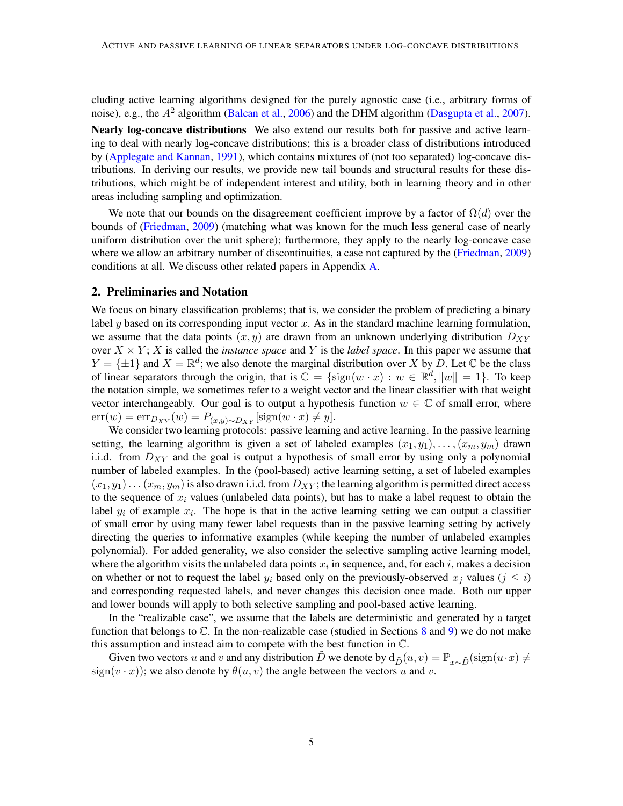cluding active learning algorithms designed for the purely agnostic case (i.e., arbitrary forms of noise), e.g., the  $A^2$  algorithm [\(Balcan et al.](#page-13-9), [2006](#page-13-9)) and the DHM algorithm [\(Dasgupta et al.](#page-13-10), [2007](#page-13-10)).

Nearly log-concave distributions We also extend our results both for passive and active learning to deal with nearly log-concave distributions; this is a broader class of distributions introduced by [\(Applegate and Kannan](#page-12-2), [1991](#page-12-2)), which contains mixtures of (not too separated) log-concave distributions. In deriving our results, we provide new tail bounds and structural results for these distributions, which might be of independent interest and utility, both in learning theory and in other areas including sampling and optimization.

We note that our bounds on the disagreement coefficient improve by a factor of  $\Omega(d)$  over the bounds of [\(Friedman](#page-14-10), [2009](#page-14-10)) (matching what was known for the much less general case of nearly uniform distribution over the unit sphere); furthermore, they apply to the nearly log-concave case where we allow an arbitrary number of discontinuities, a case not captured by the [\(Friedman](#page-14-10), [2009](#page-14-10)) conditions at all. We discuss other related papers in Appendix [A.](#page-15-10)

## 2. Preliminaries and Notation

We focus on binary classification problems; that is, we consider the problem of predicting a binary label  $y$  based on its corresponding input vector  $x$ . As in the standard machine learning formulation, we assume that the data points  $(x, y)$  are drawn from an unknown underlying distribution  $D_{XY}$ over  $X \times Y$ ; X is called the *instance space* and Y is the *label space*. In this paper we assume that  $Y = \{\pm 1\}$  and  $X = \mathbb{R}^d$ ; we also denote the marginal distribution over X by D. Let C be the class of linear separators through the origin, that is  $\mathbb{C} = \{\text{sign}(w \cdot x) : w \in \mathbb{R}^d, ||w|| = 1\}$ . To keep the notation simple, we sometimes refer to a weight vector and the linear classifier with that weight vector interchangeably. Our goal is to output a hypothesis function  $w \in \mathbb{C}$  of small error, where  $err(w) = err_{D_{XY}}(w) = P_{(x,y)\sim D_{XY}}[\text{sign}(w \cdot x) \neq y].$ 

We consider two learning protocols: passive learning and active learning. In the passive learning setting, the learning algorithm is given a set of labeled examples  $(x_1, y_1), \ldots, (x_m, y_m)$  drawn i.i.d. from  $D_{XY}$  and the goal is output a hypothesis of small error by using only a polynomial number of labeled examples. In the (pool-based) active learning setting, a set of labeled examples  $(x_1, y_1) \ldots (x_m, y_m)$  is also drawn i.i.d. from  $D_{XY}$ ; the learning algorithm is permitted direct access to the sequence of  $x_i$  values (unlabeled data points), but has to make a label request to obtain the label  $y_i$  of example  $x_i$ . The hope is that in the active learning setting we can output a classifier of small error by using many fewer label requests than in the passive learning setting by actively directing the queries to informative examples (while keeping the number of unlabeled examples polynomial). For added generality, we also consider the selective sampling active learning model, where the algorithm visits the unlabeled data points  $x_i$  in sequence, and, for each i, makes a decision on whether or not to request the label  $y_i$  based only on the previously-observed  $x_j$  values  $(j \leq i)$ and corresponding requested labels, and never changes this decision once made. Both our upper and lower bounds will apply to both selective sampling and pool-based active learning.

In the "realizable case", we assume that the labels are deterministic and generated by a target function that belongs to  $\mathbb C$ . In the non-realizable case (studied in Sections [8](#page-11-0) and [9\)](#page-11-1) we do not make this assumption and instead aim to compete with the best function in C.

Given two vectors u and v and any distribution D we denote by  $d_{\tilde{D}}(u, v) = \mathbb{P}_{x \sim \tilde{D}} (\text{sign}(u \cdot x) \neq 0)$ sign( $v \cdot x$ ); we also denote by  $\theta(u, v)$  the angle between the vectors u and v.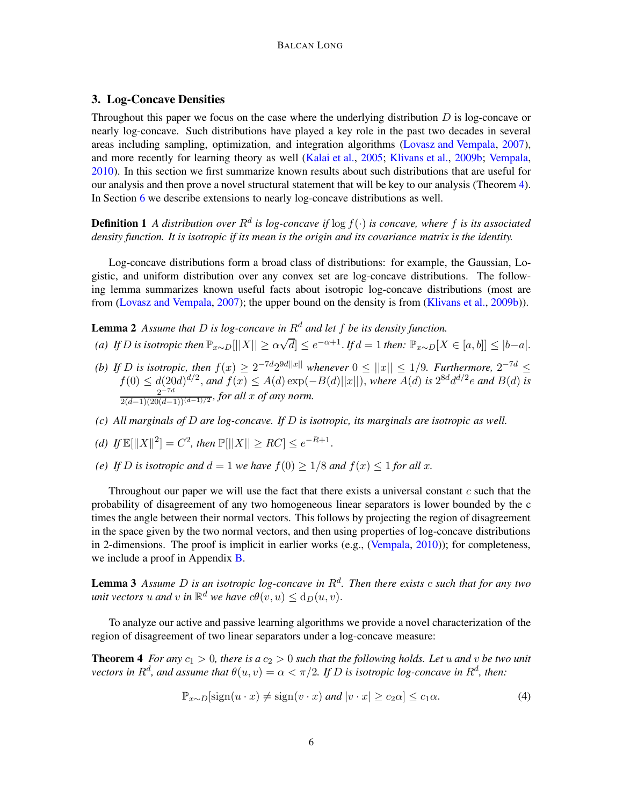# 3. Log-Concave Densities

Throughout this paper we focus on the case where the underlying distribution  $D$  is log-concave or nearly log-concave. Such distributions have played a key role in the past two decades in several areas including sampling, optimization, and integration algorithms [\(Lovasz and Vempala](#page-14-2), [2007](#page-14-2)), and more recently for learning theory as well [\(Kalai et al.](#page-14-11), [2005](#page-14-11); [Klivans et al.,](#page-14-12) [2009b](#page-14-12); [Vempala](#page-15-11), [2010\)](#page-15-11). In this section we first summarize known results about such distributions that are useful for our analysis and then prove a novel structural statement that will be key to our analysis (Theorem [4\)](#page-5-0). In Section [6](#page-9-0) we describe extensions to nearly log-concave distributions as well.

**Definition 1** A distribution over  $R^d$  is log-concave if  $\log f(\cdot)$  is concave, where f is its associated *density function. It is isotropic if its mean is the origin and its covariance matrix is the identity.*

Log-concave distributions form a broad class of distributions: for example, the Gaussian, Logistic, and uniform distribution over any convex set are log-concave distributions. The following lemma summarizes known useful facts about isotropic log-concave distributions (most are from [\(Lovasz and Vempala,](#page-14-2) [2007](#page-14-2)); the upper bound on the density is from [\(Klivans et al.](#page-14-12), [2009b\)](#page-14-12)).

<span id="page-5-2"></span>**Lemma 2** Assume that  $D$  is log-concave in  $R^d$  and let  $f$  be its density function.

- (a) If D is isotropic then  $\mathbb{P}_{x \sim D}[||X|| \ge \alpha \sqrt{d}] \le e^{-\alpha+1}$ . If  $d = 1$  then:  $\mathbb{P}_{x \sim D}[X \in [a, b]] \le |b a|$ .
- *(b)* If *D* is isotropic, then  $f(x) \ge 2^{-7d} 2^{9d||x||}$  whenever  $0 \le ||x|| \le 1/9$ . Furthermore,  $2^{-7d} \le$  $f(0) ≤ d(20d)^{d/2}$ , and  $f(x) ≤ A(d) exp(-B(d)||x||)$ , where  $A(d)$  is  $2^{8d}d^{d/2}e$  and  $B(d)$  is  $2^{-7d}$  $\frac{2}{(2(d-1)(20(d-1))(d-1)/2)}$ , for all x of any norm.
- *(c) All marginals of* D *are log-concave. If* D *is isotropic, its marginals are isotropic as well.*

(d) If 
$$
\mathbb{E}[\|X\|^2] = C^2
$$
, then  $\mathbb{P}[\|X\| \ge RC] \le e^{-R+1}$ .

*(e)* If D *is isotropic and*  $d = 1$  *we have*  $f(0) \geq 1/8$  *and*  $f(x) \leq 1$  *for all x.* 

Throughout our paper we will use the fact that there exists a universal constant  $c$  such that the probability of disagreement of any two homogeneous linear separators is lower bounded by the c times the angle between their normal vectors. This follows by projecting the region of disagreement in the space given by the two normal vectors, and then using properties of log-concave distributions in 2-dimensions. The proof is implicit in earlier works (e.g., [\(Vempala,](#page-15-11)  $2010$ )); for completeness, we include a proof in Appendix [B.](#page-17-0)

<span id="page-5-3"></span>Lemma 3 *Assume* D *is an isotropic log-concave in* R<sup>d</sup> *. Then there exists* c *such that for any two unit vectors*  $u$  *and*  $v$  *in*  $\mathbb{R}^d$  *we have*  $c\theta(v, u) \le d_D(u, v)$ *.* 

To analyze our active and passive learning algorithms we provide a novel characterization of the region of disagreement of two linear separators under a log-concave measure:

**Theorem 4** *For any*  $c_1 > 0$ *, there is a*  $c_2 > 0$  *such that the following holds. Let* u *and* v *be two unit*  $\alpha$  vectors in  $R^d$ , and assume that  $\theta(u, v) = \alpha < \pi/2$ . If  $D$  is isotropic log-concave in  $R^d$ , then:

<span id="page-5-1"></span><span id="page-5-0"></span>
$$
\mathbb{P}_{x \sim D}[\text{sign}(u \cdot x) \neq \text{sign}(v \cdot x) \text{ and } |v \cdot x| \geq c_2 \alpha] \leq c_1 \alpha. \tag{4}
$$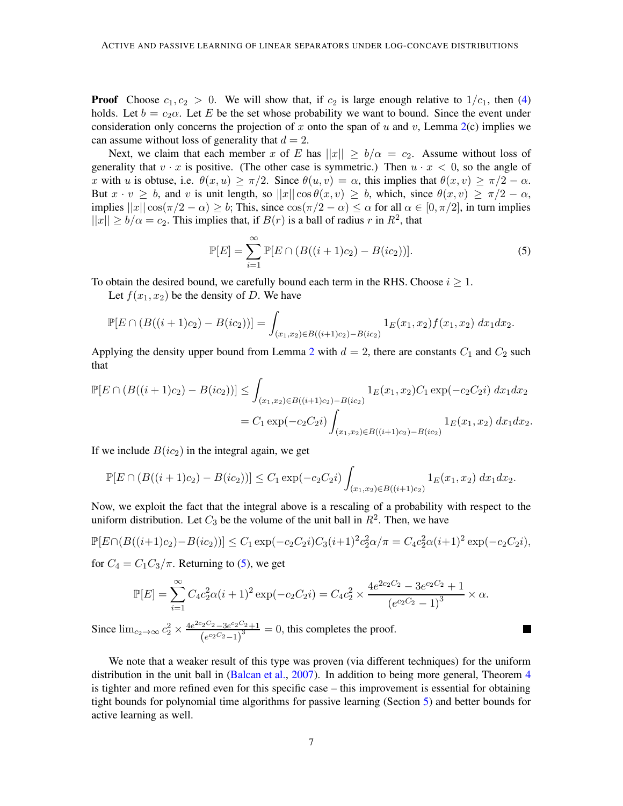**Proof** Choose  $c_1, c_2 > 0$ . We will show that, if  $c_2$  is large enough relative to  $1/c_1$ , then [\(4\)](#page-5-1) holds. Let  $b = c_2 \alpha$ . Let E be the set whose probability we want to bound. Since the event under consideration only concerns the projection of x onto the span of u and v, Lemma  $2(c)$  $2(c)$  implies we can assume without loss of generality that  $d = 2$ .

Next, we claim that each member x of E has  $||x|| \ge b/\alpha = c_2$ . Assume without loss of generality that  $v \cdot x$  is positive. (The other case is symmetric.) Then  $u \cdot x < 0$ , so the angle of x with u is obtuse, i.e.  $\theta(x, u) \ge \pi/2$ . Since  $\theta(u, v) = \alpha$ , this implies that  $\theta(x, v) \ge \pi/2 - \alpha$ . But  $x \cdot v \ge b$ , and v is unit length, so  $||x|| \cos \theta(x, v) \ge b$ , which, since  $\theta(x, v) \ge \pi/2 - \alpha$ , implies  $||x||\cos(\pi/2 - \alpha) \geq b$ ; This, since  $\cos(\pi/2 - \alpha) \leq \alpha$  for all  $\alpha \in [0, \pi/2]$ , in turn implies  $||x|| \ge b/\alpha = c_2$ . This implies that, if  $B(r)$  is a ball of radius r in  $R^2$ , that

<span id="page-6-0"></span>
$$
\mathbb{P}[E] = \sum_{i=1}^{\infty} \mathbb{P}[E \cap (B((i+1)c_2) - B(ic_2))].
$$
 (5)

To obtain the desired bound, we carefully bound each term in the RHS. Choose  $i \geq 1$ .

Let  $f(x_1, x_2)$  be the density of D. We have

$$
\mathbb{P}[E \cap (B((i+1)c_2) - B(ic_2))] = \int_{(x_1,x_2) \in B((i+1)c_2) - B(ic_2)} 1_E(x_1,x_2) f(x_1,x_2) dx_1 dx_2.
$$

Applying the density upper bound from Lemma [2](#page-5-2) with  $d = 2$ , there are constants  $C_1$  and  $C_2$  such that

$$
\mathbb{P}[E \cap (B((i+1)c_2) - B(ic_2))] \leq \int_{(x_1, x_2) \in B((i+1)c_2) - B(ic_2)} 1_E(x_1, x_2) C_1 \exp(-c_2 C_2 i) dx_1 dx_2
$$
  
=  $C_1 \exp(-c_2 C_2 i) \int_{(x_1, x_2) \in B((i+1)c_2) - B(ic_2)} 1_E(x_1, x_2) dx_1 dx_2.$ 

If we include  $B(ic_2)$  in the integral again, we get

$$
\mathbb{P}[E \cap (B((i+1)c_2) - B(ic_2))] \leq C_1 \exp(-c_2 C_2 i) \int_{(x_1,x_2) \in B((i+1)c_2)} 1_E(x_1,x_2) dx_1 dx_2.
$$

Now, we exploit the fact that the integral above is a rescaling of a probability with respect to the uniform distribution. Let  $C_3$  be the volume of the unit ball in  $R^2$ . Then, we have

$$
\mathbb{P}[E \cap (B((i+1)c_2) - B(ic_2))] \le C_1 \exp(-c_2 C_2 i) C_3 (i+1)^2 c_2^2 \alpha / \pi = C_4 c_2^2 \alpha (i+1)^2 \exp(-c_2 C_2 i),
$$

for  $C_4 = C_1 C_3 / \pi$ . Returning to [\(5\)](#page-6-0), we get

$$
\mathbb{P}[E] = \sum_{i=1}^{\infty} C_4 c_2^2 \alpha (i+1)^2 \exp(-c_2 C_2 i) = C_4 c_2^2 \times \frac{4e^{2c_2 C_2} - 3e^{c_2 C_2} + 1}{(e^{c_2 C_2} - 1)^3} \times \alpha.
$$

Since  $\lim_{c_2 \to \infty} c_2^2 \times \frac{4e^{2c_2C_2} - 3e^{c_2C_2} + 1}{(e^{c_2C_2} - 1)^3}$  $\frac{(e^{c_2C_2}-3e^{c_2C_2}+1)}{(e^{c_2C_2}-1)^3} = 0$ , this completes the proof.

We note that a weaker result of this type was proven (via different techniques) for the uniform distribution in the unit ball in [\(Balcan et al.,](#page-13-4) [2007](#page-13-4)). In addition to being more general, Theorem [4](#page-5-0) is tighter and more refined even for this specific case – this improvement is essential for obtaining tight bounds for polynomial time algorithms for passive learning (Section [5\)](#page-8-1) and better bounds for active learning as well.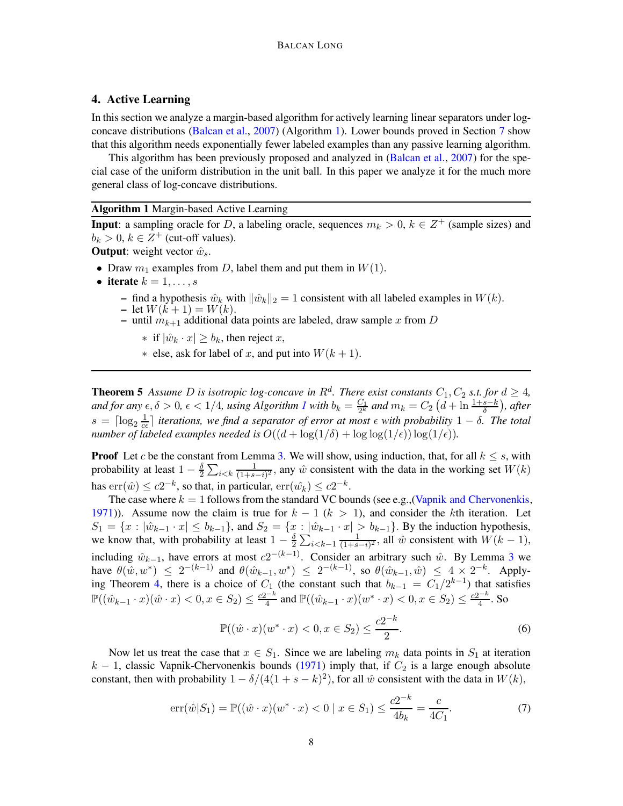# 4. Active Learning

In this section we analyze a margin-based algorithm for actively learning linear separators under logconcave distributions [\(Balcan et al.](#page-13-4), [2007\)](#page-13-4) (Algorithm [1\)](#page-7-0). Lower bounds proved in Section [7](#page-11-2) show that this algorithm needs exponentially fewer labeled examples than any passive learning algorithm.

This algorithm has been previously proposed and analyzed in [\(Balcan et al.,](#page-13-4) [2007](#page-13-4)) for the special case of the uniform distribution in the unit ball. In this paper we analyze it for the much more general class of log-concave distributions.

#### Algorithm 1 Margin-based Active Learning

**Input**: a sampling oracle for D, a labeling oracle, sequences  $m_k > 0$ ,  $k \in \mathbb{Z}^+$  (sample sizes) and  $b_k > 0$ ,  $k \in \mathbb{Z}^+$  (cut-off values).

**Output:** weight vector  $\hat{w}_s$ .

- Draw  $m_1$  examples from D, label them and put them in  $W(1)$ .
- iterate  $k = 1, \ldots, s$ 
	- find a hypothesis  $\hat{w}_k$  with  $\|\hat{w}_k\|_2 = 1$  consistent with all labeled examples in  $W(k)$ . – let  $W(k+1) = W(k)$ .
	- until  $m_{k+1}$  additional data points are labeled, draw sample x from D
		- ∗ if  $|\hat{w}_k \cdot x| \ge b_k$ , then reject x,
		- ∗ else, ask for label of x, and put into W(k + 1).

<span id="page-7-3"></span><span id="page-7-0"></span>**Theorem 5** Assume D is isotropic log-concave in  $R^d$ . There exist constants  $C_1, C_2$  s.t. for  $d \geq 4$ , *and for any*  $\epsilon, \delta > 0$ ,  $\epsilon < 1/4$  $\epsilon < 1/4$  $\epsilon < 1/4$ , using Algorithm 1 with  $b_k = \frac{C_1}{2^k}$  $\frac{C_1}{2^k}$  and  $m_k = C_2\left(d+\ln\frac{1+s-k}{\delta}\right)$ , after  $s = \lceil \log_2 \frac{1}{c} \rceil$  $\frac{1}{c\epsilon}$  *iterations, we find a separator of error at most*  $\epsilon$  *with probability*  $1 - \delta$ *. The total number of labeled examples needed is*  $O((d + \log(1/\delta) + \log \log(1/\epsilon)) \log(1/\epsilon))$ *.* 

**Proof** Let c be the constant from Lemma [3.](#page-5-3) We will show, using induction, that, for all  $k \leq s$ , with probability at least  $1-\frac{\delta}{2}$  $\frac{\delta}{2} \sum_{i < k} \frac{1}{(1+s)}$  $\frac{1}{(1+s-i)^2}$ , any  $\hat{w}$  consistent with the data in the working set  $W(k)$ has  $\text{err}(\hat{w}) \leq c2^{-k}$ , so that, in particular,  $\text{err}(\hat{w}_k) \leq c2^{-k}$ .

The case where  $k = 1$  follows from the standard VC bounds (see e.g., [\(Vapnik and Chervonenkis](#page-15-0), [1971\)](#page-15-0)). Assume now the claim is true for  $k - 1$  ( $k > 1$ ), and consider the kth iteration. Let  $S_1 = \{x : |\hat{w}_{k-1} \cdot x| \le b_{k-1}\}\$ , and  $S_2 = \{x : |\hat{w}_{k-1} \cdot x| > b_{k-1}\}\$ . By the induction hypothesis, we know that, with probability at least  $1 - \frac{\delta}{2}$  $\frac{\delta}{2} \sum_{i \leq k-1} \frac{1}{(1+s)}$  $\frac{1}{(1+s-i)^2}$ , all  $\hat{w}$  consistent with  $W(k-1)$ , including  $\hat{w}_{k-1}$ , have errors at most  $c2^{-(k-1)}$ . Consider an arbitrary such  $\hat{w}$ . By Lemma [3](#page-5-3) we have  $\theta(\hat{w}, w^*) \leq 2^{-(k-1)}$  and  $\theta(\hat{w}_{k-1}, w^*) \leq 2^{-(k-1)}$ , so  $\theta(\hat{w}_{k-1}, \hat{w}) \leq 4 \times 2^{-k}$ . Apply-ing Theorem [4,](#page-5-0) there is a choice of  $C_1$  (the constant such that  $b_{k-1} = C_1/2^{k-1}$ ) that satisfies  $\mathbb{P}((\hat{w}_{k-1} \cdot x)(\hat{w} \cdot x) < 0, x \in S_2) \leq \frac{c2^{-k}}{4}$  $\frac{e^{-k}}{4}$  and  $\mathbb{P}((\hat{w}_{k-1} \cdot x)(w^* \cdot x) < 0, x \in S_2) \leq \frac{c2^{-k}}{4}$  $\frac{1}{4}$ . So

<span id="page-7-1"></span>
$$
\mathbb{P}((\hat{w} \cdot x)(w^* \cdot x) < 0, x \in S_2) \le \frac{c2^{-k}}{2}.\tag{6}
$$

Now let us treat the case that  $x \in S_1$ . Since we are labeling  $m_k$  data points in  $S_1$  at iteration  $k - 1$ , classic Vapnik-Chervonenkis bounds [\(1971](#page-15-0)) imply that, if  $C_2$  is a large enough absolute constant, then with probability  $1 - \delta/(4(1 + s - k)^2)$ , for all  $\hat{w}$  consistent with the data in  $W(k)$ ,

<span id="page-7-2"></span>
$$
\operatorname{err}(\hat{w}|S_1) = \mathbb{P}((\hat{w} \cdot x)(w^* \cdot x) < 0 \mid x \in S_1) \le \frac{c2^{-k}}{4b_k} = \frac{c}{4C_1}.\tag{7}
$$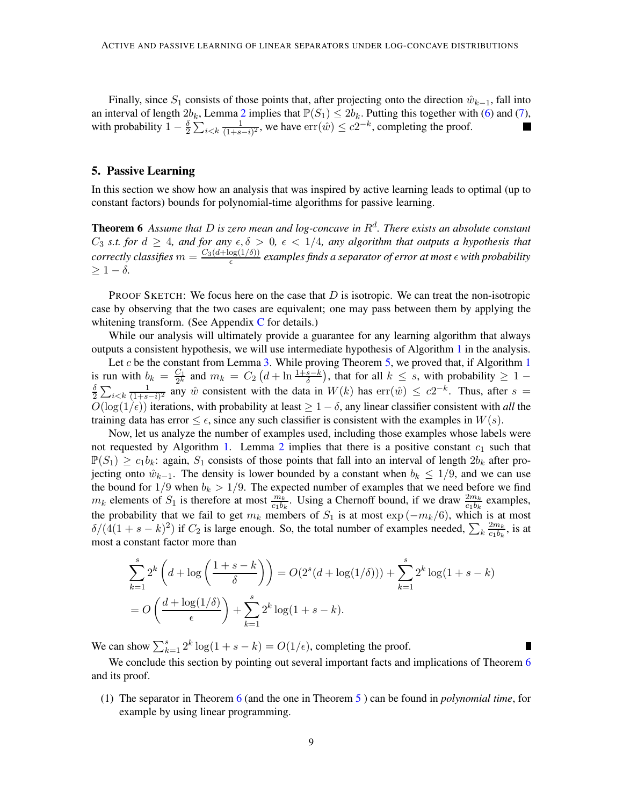Finally, since  $S_1$  consists of those points that, after projecting onto the direction  $\hat{w}_{k-1}$ , fall into an interval of length  $2b_k$  $2b_k$ , Lemma 2 implies that  $\mathbb{P}(S_1) \leq 2b_k$ . Putting this together with [\(6\)](#page-7-1) and [\(7\)](#page-7-2), with probability  $1 - \frac{\delta}{2}$  $\frac{\delta}{2} \sum_{i \leq k} \frac{1}{(1+s)}$  $\frac{1}{(1+s-i)^2}$ , we have  $\text{err}(\hat{w}) \leq c2^{-k}$ , completing the proof.

## <span id="page-8-1"></span>5. Passive Learning

<span id="page-8-0"></span>In this section we show how an analysis that was inspired by active learning leads to optimal (up to constant factors) bounds for polynomial-time algorithms for passive learning.

Theorem 6 *Assume that* D *is zero mean and log-concave in* R<sup>d</sup> *. There exists an absolute constant*  $C_3$  *s.t. for*  $d \geq 4$ *, and for any*  $\epsilon, \delta > 0$ ,  $\epsilon < 1/4$ *, any algorithm that outputs a hypothesis that correctly classifies*  $m = \frac{C_3(d + \log(1/\delta))}{\epsilon}$  $\frac{\log(1/\theta)}{\epsilon}$  examples finds a separator of error at most  $\epsilon$  with probability  $> 1 - \delta$ .

PROOF SKETCH: We focus here on the case that  $D$  is isotropic. We can treat the non-isotropic case by observing that the two cases are equivalent; one may pass between them by applying the whitening transform. (See Appendix  $C$  for details.)

While our analysis will ultimately provide a guarantee for any learning algorithm that always outputs a consistent hypothesis, we will use intermediate hypothesis of Algorithm [1](#page-7-0) in the analysis.

Let  $c$  be the constant from Lemma [3.](#page-5-3) While proving Theorem [5,](#page-7-3) we proved that, if Algorithm [1](#page-7-0) is run with  $b_k = \frac{C_1}{2^k}$ is run with  $b_k = \frac{C_1}{2^k}$  and  $m_k = C_2 \left( d + \ln \frac{1+s-k}{\delta} \right)$ , that for all  $k \leq s$ , with probability  $\geq 1 - \frac{\delta}{\delta} \sum_{k=1}^{\infty} \frac{1}{2^k}$  any  $\hat{w}$  consistent with the data in  $W(k)$  has  $err(\hat{w}) \leq c2^{-k}$ . Thus, after  $\frac{\delta}{2} \sum_{i < k} \frac{1}{(1+s)}$  $\frac{1}{(1+s-i)^2}$  any  $\hat{w}$  consistent with the data in  $W(k)$  has  $err(\hat{w}) \leq c2^{-k}$ . Thus, after  $s =$  $O(\log(1/\epsilon))$  iterations, with probability at least  $\geq 1-\delta$ , any linear classifier consistent with *all* the training data has error  $\leq \epsilon$ , since any such classifier is consistent with the examples in  $W(s)$ .

Now, let us analyze the number of examples used, including those examples whose labels were not requested by Algorithm [1.](#page-7-0) Lemma [2](#page-5-2) implies that there is a positive constant  $c_1$  such that  $\mathbb{P}(S_1) \geq c_1b_k$ : again,  $S_1$  consists of those points that fall into an interval of length  $2b_k$  after projecting onto  $\hat{w}_{k-1}$ . The density is lower bounded by a constant when  $b_k \leq 1/9$ , and we can use the bound for  $1/9$  when  $b_k > 1/9$ . The expected number of examples that we need before we find  $m_k$  elements of  $S_1$  is therefore at most  $\frac{m_k}{c_1b_k}$ . Using a Chernoff bound, if we draw  $\frac{2m_k}{c_1b_k}$  examples, the probability that we fail to get  $m_k$  members of  $S_1$  is at most  $\exp(-m_k/6)$ , which is at most  $\delta/(4(1+s-k)^2)$  if  $C_2$  is large enough. So, the total number of examples needed,  $\sum_k \frac{2m_k}{c_1b_k}$  $rac{2m_k}{c_1b_k}$ , is at most a constant factor more than

$$
\sum_{k=1}^{s} 2^{k} \left( d + \log \left( \frac{1+s-k}{\delta} \right) \right) = O(2^{s} (d + \log(1/\delta))) + \sum_{k=1}^{s} 2^{k} \log(1+s-k)
$$
  
= 
$$
O\left(\frac{d + \log(1/\delta)}{\epsilon}\right) + \sum_{k=1}^{s} 2^{k} \log(1+s-k).
$$

We can show  $\sum_{k=1}^{s} 2^k \log(1 + s - k) = O(1/\epsilon)$ , completing the proof.

We conclude this section by pointing out several important facts and implications of Theorem [6](#page-8-0) and its proof.

(1) The separator in Theorem [6](#page-8-0) (and the one in Theorem [5](#page-7-3) ) can be found in *polynomial time*, for example by using linear programming.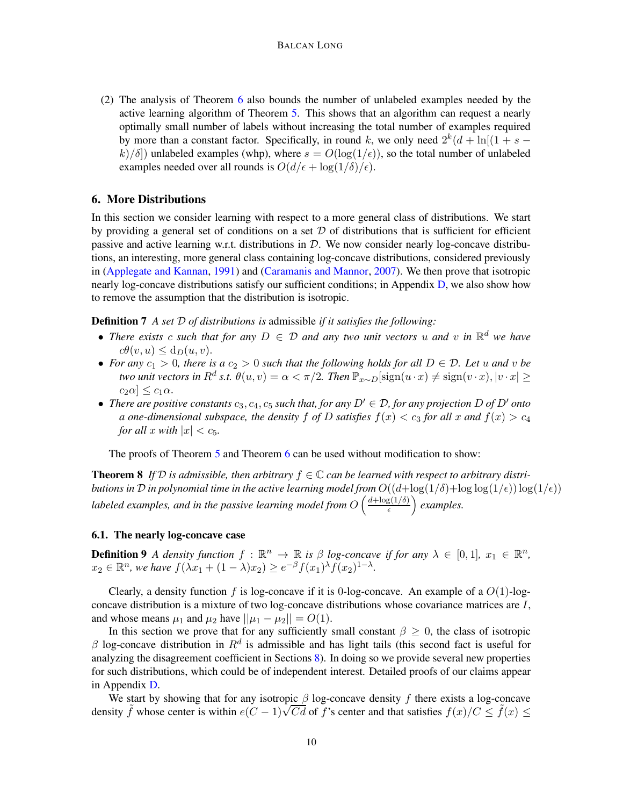(2) The analysis of Theorem [6](#page-8-0) also bounds the number of unlabeled examples needed by the active learning algorithm of Theorem [5.](#page-7-3) This shows that an algorithm can request a nearly optimally small number of labels without increasing the total number of examples required by more than a constant factor. Specifically, in round k, we only need  $2^k(d + \ln[(1 + s$  $k/\delta$ ) unlabeled examples (whp), where  $s = O(\log(1/\epsilon))$ , so the total number of unlabeled examples needed over all rounds is  $O(d/\epsilon + \log(1/\delta)/\epsilon)$ .

## <span id="page-9-0"></span>6. More Distributions

In this section we consider learning with respect to a more general class of distributions. We start by providing a general set of conditions on a set  $\mathcal D$  of distributions that is sufficient for efficient passive and active learning w.r.t. distributions in  $D$ . We now consider nearly log-concave distributions, an interesting, more general class containing log-concave distributions, considered previously in [\(Applegate and Kannan](#page-12-2), [1991](#page-12-2)) and [\(Caramanis and Mannor](#page-13-15), [2007](#page-13-15)). We then prove that isotropic nearly log-concave distributions satisfy our sufficient conditions; in Appendix [D,](#page-18-0) we also show how to remove the assumption that the distribution is isotropic.

Definition 7 *A set* D *of distributions is* admissible *if it satisfies the following:*

- *There exists* c such that for any  $D \in \mathcal{D}$  and any two unit vectors u and v in  $\mathbb{R}^d$  we have  $c\theta(v, u) \leq d_D(u, v).$
- For any  $c_1 > 0$ , there is a  $c_2 > 0$  such that the following holds for all  $D \in \mathcal{D}$ . Let u and v be *two unit vectors in*  $R^d$  *s.t.*  $\theta(u, v) = \alpha < \pi/2$ *. Then*  $\mathbb{P}_{x \sim D}[\text{sign}(u \cdot x) \neq \text{sign}(v \cdot x), |v \cdot x| \geq$  $c_2\alpha$   $\leq c_1\alpha$ .
- *There are positive constants*  $c_3$ ,  $c_4$ ,  $c_5$  *such that, for any*  $D' \in \mathcal{D}$ *, for any projection*  $D$  *of*  $D'$  *onto a* one-dimensional subspace, the density f of D satisfies  $f(x) < c_3$  for all x and  $f(x) > c_4$ *for all*  $x$  *with*  $|x| < c_5$ *.*

<span id="page-9-1"></span>The proofs of Theorem [5](#page-7-3) and Theorem [6](#page-8-0) can be used without modification to show:

**Theorem 8** If  $D$  is admissible, then arbitrary  $f \in \mathbb{C}$  can be learned with respect to arbitrary distri*butions in* D *in polynomial time in the active learning model from*  $O((d + \log(1/\delta) + \log \log(1/\epsilon)) \log(1/\epsilon))$ labeled examples, and in the passive learning model from  $O\left(\frac{d + \log(1/\delta)}{\epsilon}\right)$  $\left(\frac{g(1/\delta)}{\epsilon}\right)$  examples.

# <span id="page-9-2"></span>6.1. The nearly log-concave case

**Definition 9** *A density function*  $f : \mathbb{R}^n \to \mathbb{R}$  *is*  $\beta$  *log-concave if for any*  $\lambda \in [0,1]$ *,*  $x_1 \in \mathbb{R}^n$ *,*  $x_2 \in \mathbb{R}^n$ , we have  $f(\lambda x_1 + (1 - \lambda)x_2) \geq e^{-\beta} f(x_1)^{\lambda} f(x_2)^{1-\lambda}$ .

Clearly, a density function f is log-concave if it is 0-log-concave. An example of a  $O(1)$ -logconcave distribution is a mixture of two log-concave distributions whose covariance matrices are I, and whose means  $\mu_1$  and  $\mu_2$  have  $||\mu_1 - \mu_2|| = O(1)$ .

In this section we prove that for any sufficiently small constant  $\beta \geq 0$ , the class of isotropic  $\beta$  log-concave distribution in  $R^d$  is admissible and has light tails (this second fact is useful for analyzing the disagreement coefficient in Sections [8\)](#page-11-0). In doing so we provide several new properties for such distributions, which could be of independent interest. Detailed proofs of our claims appear in Appendix [D.](#page-18-0)

We start by showing that for any isotropic  $\beta$  log-concave density f there exists a log-concave density  $\tilde{f}$  whose center is within  $e(C-1)\sqrt{Cd}$  of f's center and that satisfies  $f(x)/C \leq \tilde{f}(x) \leq$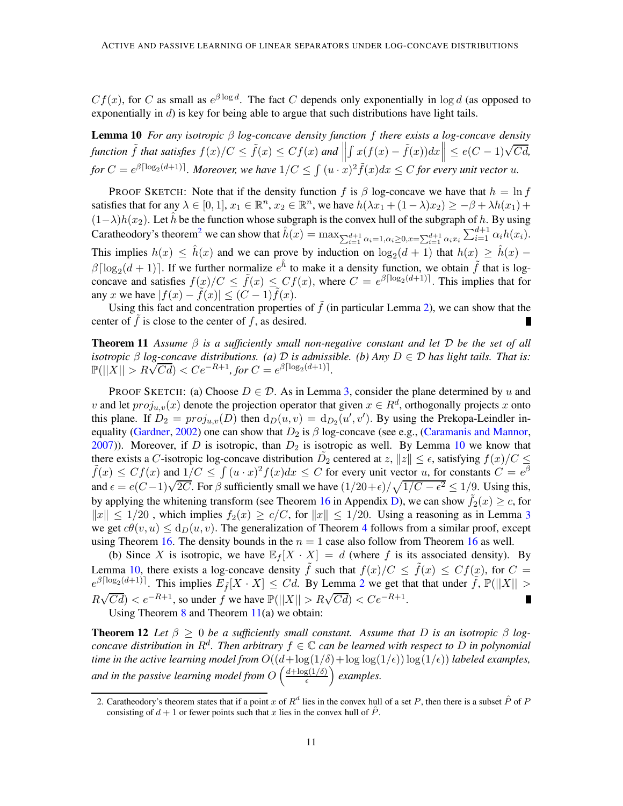<span id="page-10-1"></span> $Cf(x)$ , for C as small as  $e^{\beta \log d}$ . The fact C depends only exponentially in  $\log d$  (as opposed to exponentially in  $d$ ) is key for being able to argue that such distributions have light tails.

Lemma 10 *For any isotropic* β *log-concave density function* f *there exists a log-concave density function*  $\tilde{f}$  *that satisfies*  $f(x)/C \leq \tilde{f}(x) \leq Cf(x)$  *and*  $\parallel$  $\left|\int x(f(x)-\tilde{f}(x))dx\right|\right|\leq e(C-1)\sqrt{Cd},$ for  $C = e^{\beta \lceil \log_2(d+1) \rceil}$ . Moreover, we have  $1/C \leq \int (u \cdot x)^2 \tilde{f}(x) dx \leq C$  for every unit vector  $u$ .

PROOF SKETCH: Note that if the density function f is  $\beta$  log-concave we have that  $h = \ln f$ satisfies that for any  $\lambda \in [0,1]$ ,  $x_1 \in \mathbb{R}^n$ ,  $x_2 \in \mathbb{R}^n$ , we have  $h(\lambda x_1 + (1 - \lambda)x_2) \ge -\beta + \lambda h(x_1) +$  $(1-\lambda)h(x_2)$ . Let  $\hat{h}$  be the function whose subgraph is the convex hull of the subgraph of h. By using Caratheodory's theorem<sup>[2](#page-10-0)</sup> we can show that  $\hat{h}(x) = \max_{\sum_{i=1}^{d+1} \alpha_i = 1, \alpha_i \ge 0, x = \sum_{i=1}^{d+1} \alpha_i x_i} \sum_{i=1}^{d+1} \alpha_i h(x_i)$ . This implies  $h(x) \leq \hat{h}(x)$  and we can prove by induction on  $\log_2(d+1)$  that  $h(x) \geq \hat{h}(x)$  –  $\beta \lceil \log_2(d+1) \rceil$ . If we further normalize  $e^{\hat{h}}$  to make it a density function, we obtain  $\tilde{f}$  that is logconcave and satisfies  $f(x)/C \leq \tilde{f}(x) \leq Cf(x)$ , where  $C = e^{\beta \lceil \log_2(d+1) \rceil}$ . This implies that for any x we have  $|f(x) - \tilde{f}(x)| \leq (C - 1)\tilde{f}(x)$ .

<span id="page-10-2"></span>Using this fact and concentration properties of  $\tilde{f}$  (in particular Lemma [2\)](#page-5-2), we can show that the center of  $f$  is close to the center of  $f$ , as desired. П

Theorem 11 *Assume* β *is a sufficiently small non-negative constant and let* D *be the set of all isotropic*  $\beta$  *log-concave distributions.* (a)  $\mathcal{D}$  *is admissible.* (b) Any  $D \in \mathcal{D}$  *has light tails. That is:*  $\mathbb{P}(||X|| > R\sqrt{Cd}) < Ce^{-R+1}$ , for  $C = e^{\beta \left[\log_2(d+1)\right]}$ .

PROOF SKETCH: (a) Choose  $D \in \mathcal{D}$ . As in Lemma [3,](#page-5-3) consider the plane determined by u and v and let  $proj_{u,v}(x)$  denote the projection operator that given  $x \in R^d$ , orthogonally projects x onto this plane. If  $D_2 = proj_{u,v}(D)$  then  $d_D(u,v) = d_{D_2}(u',v')$ . By using the Prekopa-Leindler in-equality [\(Gardner](#page-14-13), [2002](#page-14-13)) one can show that  $D_2$  is  $\beta$  log-concave (see e.g., [\(Caramanis and Mannor](#page-13-15), [2007\)](#page-13-15)). Moreover, if D is isotropic, than  $D_2$  is isotropic as well. By Lemma [10](#page-10-1) we know that there exists a C-isotropic log-concave distribution  $\tilde{D}_2$  centered at  $z, ||z|| \leq \epsilon$ , satisfying  $f(x)/C \leq \epsilon$  $\tilde{f}(x) \le Cf(x)$  and  $1/C \le \int (u \cdot x)^2 f(x) dx \le C$  for every unit vector u, for constants  $C = e^{\beta}$ and  $\epsilon = e(C-1)\sqrt{2C}$ . For  $\beta$  sufficiently small we have  $\frac{1}{20+\epsilon}/\sqrt{\frac{1}{C-\epsilon^2}} \leq \frac{1}{9}$ . Using this, by applying the whitening transform (see Theorem [16](#page-20-0) in Appendix [D\)](#page-18-0), we can show  $\tilde{f}_2(x) \geq c$ , for  $||x|| \le 1/20$ , which implies  $f_2(x) \ge c/C$ , for  $||x|| \le 1/20$ . Using a reasoning as in Lemma [3](#page-5-3) we get  $c\theta(v, u) \leq d_D(u, v)$ . The generalization of Theorem [4](#page-5-0) follows from a similar proof, except using Theorem [16.](#page-20-0) The density bounds in the  $n = 1$  case also follow from Theorem [16](#page-20-0) as well.

(b) Since X is isotropic, we have  $\mathbb{E}_f[X \cdot X] = d$  (where f is its associated density). By Lemma [10,](#page-10-1) there exists a log-concave density  $\tilde{f}$  such that  $f(x)/C \leq \tilde{f}(x) \leq Cf(x)$ , for  $C =$  $e^{\beta \lceil \log_2(d+1) \rceil}$  $e^{\beta \lceil \log_2(d+1) \rceil}$  $e^{\beta \lceil \log_2(d+1) \rceil}$ . This implies  $E_{\tilde{f}}[X \cdot X] \leq Cd$ . By Lemma 2 we get that that under  $\tilde{f}$ ,  $\mathbb{P}(|X| >$  $R\sqrt{Cd}$ ) <  $e^{-R+1}$ , so under f we have  $\mathbb{P}(||X|| > R\sqrt{Cd}) < Ce^{-R+1}$ .  $\blacksquare$ 

Using Theorem  $8$  and Theorem  $11(a)$  $11(a)$  we obtain:

**Theorem 12** Let  $\beta \geq 0$  be a sufficiently small constant. Assume that D is an isotropic  $\beta$  log*concave distribution in*  $R^d$ . Then arbitrary  $f \in \mathbb{C}$  *can be learned with respect to* D *in polynomial time in the active learning model from*  $O((d + \log(1/\delta) + \log \log(1/\epsilon)) \log(1/\epsilon))$  *labeled examples,* and in the passive learning model from  $O\left(\frac{d + \log(1/\delta)}{\epsilon}\right)$  $\left(\frac{g(1/\delta)}{\epsilon}\right)$  examples.

<span id="page-10-0"></span><sup>2.</sup> Caratheodory's theorem states that if a point x of  $R^d$  lies in the convex hull of a set P, then there is a subset  $\hat{P}$  of F consisting of  $d + 1$  or fewer points such that x lies in the convex hull of  $\ddot{P}$ .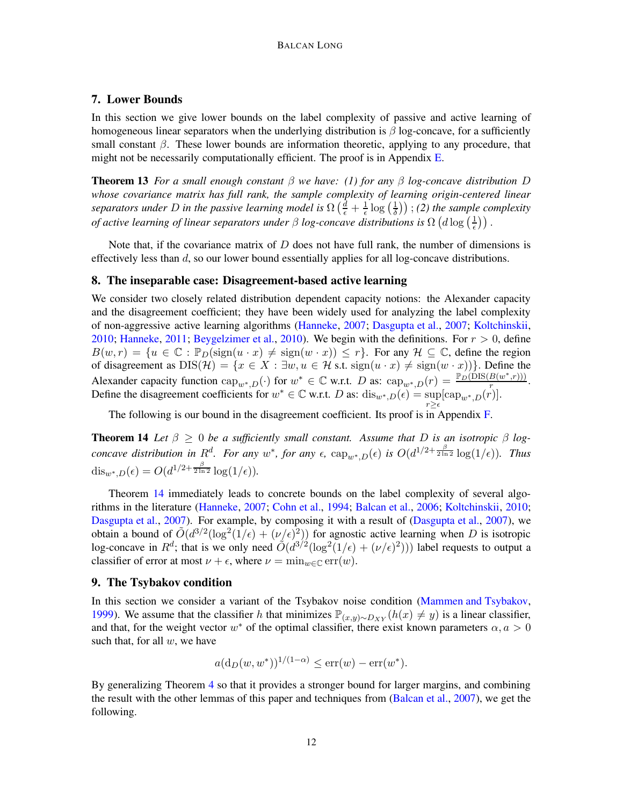# <span id="page-11-2"></span>7. Lower Bounds

In this section we give lower bounds on the label complexity of passive and active learning of homogeneous linear separators when the underlying distribution is  $\beta$  log-concave, for a sufficiently small constant  $\beta$ . These lower bounds are information theoretic, applying to any procedure, that might not be necessarily computationally efficient. The proof is in Appendix  $E$ .

<span id="page-11-5"></span>Theorem 13 *For a small enough constant* β *we have: (1) for any* β *log-concave distribution* D *whose covariance matrix has full rank, the sample complexity of learning origin-centered linear* separators under D in the passive learning model is  $\Omega\left(\frac{d}{\epsilon}+\frac{1}{\epsilon}\right)$  $\frac{1}{\epsilon} \log \left( \frac{1}{\delta} \right)$  $(\frac{1}{\delta})$ ); (2) the sample complexity *of active learning of linear separators under β log-concave distributions is*  $\Omega$  ( $d \log(\frac{1}{\epsilon})$  $(\frac{1}{\epsilon})$ .

Note that, if the covariance matrix of  $D$  does not have full rank, the number of dimensions is effectively less than d, so our lower bound essentially applies for all log-concave distributions.

#### <span id="page-11-0"></span>8. The inseparable case: Disagreement-based active learning

We consider two closely related distribution dependent capacity notions: the Alexander capacity and the disagreement coefficient; they have been widely used for analyzing the label complexity of non-aggressive active learning algorithms [\(Hanneke,](#page-14-6) [2007;](#page-14-6) [Dasgupta et al.](#page-13-10), [2007](#page-13-10); [Koltchinskii](#page-14-8), [2010;](#page-14-8) [Hanneke](#page-14-9), [2011](#page-14-9); [Beygelzimer et al.,](#page-13-13) [2010](#page-13-13)). We begin with the definitions. For  $r > 0$ , define  $B(w,r) = \{u \in \mathbb{C} : \mathbb{P}_D(\text{sign}(u \cdot x) \neq \text{sign}(w \cdot x)) \leq r\}.$  For any  $\mathcal{H} \subseteq \mathbb{C}$ , define the region of disagreement as  $DIS(\mathcal{H}) = \{x \in X : \exists w, u \in \mathcal{H} \text{ s.t. } sign(u \cdot x) \neq sign(w \cdot x)\}\.$  Define the Alexander capacity function  $\text{cap}_{w^*,D}(\cdot)$  for  $w^* \in \mathbb{C}$  w.r.t. D as:  $\text{cap}_{w^*,D}(r) = \frac{\mathbb{P}_D(\text{DIS}(B(w^*,r)))}{r}$ . Define the disagreement coefficients for  $w^* \in \mathbb{C}$  w.r.t. D as:  $\text{dis}_{w^*,D}(\epsilon) = \text{sup}_{r \geq \epsilon}$  $[\text{cap}_{w^*,D}(r)].$ 

<span id="page-11-3"></span>The following is our bound in the disagreement coefficient. Its proof is in Appendix [F.](#page-23-0)

**Theorem 14** Let  $\beta > 0$  be a sufficiently small constant. Assume that D is an isotropic  $\beta$  log*concave distribution in*  $R^d$ *. For any*  $w^*$ *, for any*  $\epsilon$ *,*  $\text{cap}_{w^*,D}(\epsilon)$  *is*  $O(d^{1/2+\frac{\beta}{2\ln 2}}\log(1/\epsilon))$ *. Thus* dis<sub>w</sub>\*, $D(\epsilon) = O(d^{1/2 + \frac{\beta}{2 \ln 2}} \log(1/\epsilon)).$ 

Theorem [14](#page-11-3) immediately leads to concrete bounds on the label complexity of several algorithms in the literature [\(Hanneke](#page-14-6), [2007;](#page-14-6) [Cohn et al.,](#page-13-16) [1994](#page-13-16); [Balcan et al.,](#page-13-9) [2006](#page-13-9); [Koltchinskii](#page-14-8), [2010](#page-14-8); [Dasgupta et al.](#page-13-10), [2007](#page-13-10)). For example, by composing it with a result of [\(Dasgupta et al.](#page-13-10), [2007](#page-13-10)), we obtain a bound of  $\tilde{O}(d^{3/2}(\log^2(1/\epsilon) + (\nu/\epsilon)^2))$  for agnostic active learning when D is isotropic log-concave in  $R^d$ ; that is we only need  $O(d^{3/2}(\log^2(1/\epsilon) + (\nu/\epsilon)^2)))$  label requests to output a classifier of error at most  $\nu + \epsilon$ , where  $\nu = \min_{w \in \mathbb{C}} \text{err}(w)$ .

#### <span id="page-11-1"></span>9. The Tsybakov condition

In this section we consider a variant of the Tsybakov noise condition [\(Mammen and Tsybakov](#page-15-1), [1999\)](#page-15-1). We assume that the classifier h that minimizes  $\mathbb{P}_{(x,y)\sim D_{XY}}(h(x) \neq y)$  is a linear classifier, and that, for the weight vector  $w^*$  of the optimal classifier, there exist known parameters  $\alpha, a > 0$ such that, for all  $w$ , we have

$$
a(d_D(w, w^*))^{1/(1-\alpha)} \le \text{err}(w) - \text{err}(w^*).
$$

<span id="page-11-4"></span>By generalizing Theorem [4](#page-5-0) so that it provides a stronger bound for larger margins, and combining the result with the other lemmas of this paper and techniques from [\(Balcan et al.,](#page-13-4) [2007\)](#page-13-4), we get the following.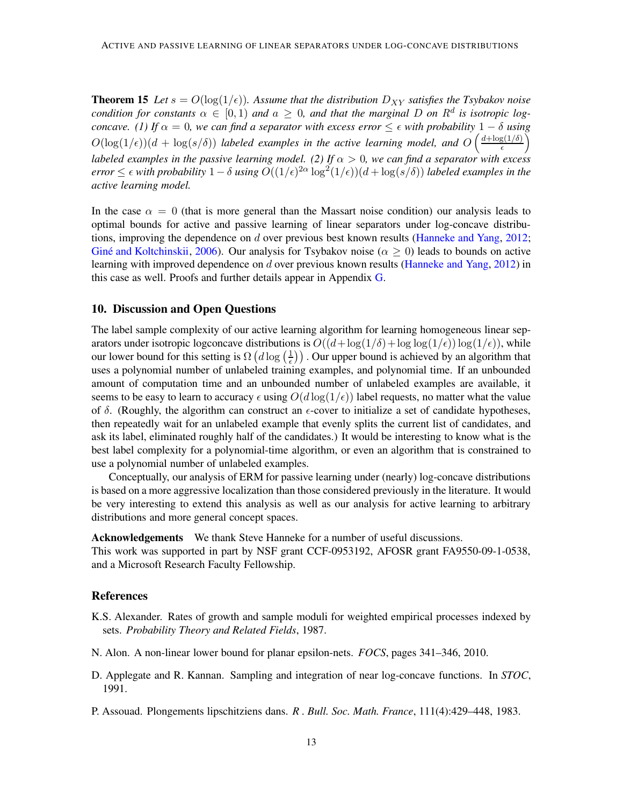**Theorem 15** Let  $s = O(\log(1/\epsilon))$ . Assume that the distribution  $D_{XY}$  satisfies the Tsybakov noise *condition for constants*  $\alpha \in [0,1)$  *and*  $a \geq 0$ *, and that the marginal* D *on*  $R^d$  *is isotropic logconcave.* (1) If  $\alpha = 0$ , we can find a separator with excess error  $\leq \epsilon$  *with probability*  $1 - \delta$  *using*  $O(\log(1/\epsilon))(d + \log(s/\delta))$  *labeled examples in the active learning model, and*  $O\left(\frac{d + \log(1/\delta)}{\epsilon}\right)$  $\frac{g(1/\delta)}{\epsilon}$ *labeled examples in the passive learning model. (2) If* α > 0*, we can find a separator with excess*  $error \leq \epsilon$  *with probability*  $1-\delta$  *using*  $O((1/\epsilon)^{2\alpha} \log^2(1/\epsilon))(d + \log(s/\delta))$  *labeled examples in the active learning model.*

In the case  $\alpha = 0$  (that is more general than the Massart noise condition) our analysis leads to optimal bounds for active and passive learning of linear separators under log-concave distributions, improving the dependence on d over previous best known results [\(Hanneke and Yang](#page-14-7), [2012](#page-14-7); Giné and Koltchinskii, [2006](#page-14-5)). Our analysis for Tsybakov noise ( $\alpha \ge 0$ ) leads to bounds on active learning with improved dependence on d over previous known results [\(Hanneke and Yang](#page-14-7), [2012](#page-14-7)) in this case as well. Proofs and further details appear in Appendix [G.](#page-23-1)

## 10. Discussion and Open Questions

The label sample complexity of our active learning algorithm for learning homogeneous linear separators under isotropic logconcave distributions is  $O((d + \log(1/\delta) + \log \log(1/\epsilon)) \log(1/\epsilon))$ , while our lower bound for this setting is  $\Omega(d \log(\frac{1}{\epsilon}))$  $(\frac{1}{\epsilon})$ ). Our upper bound is achieved by an algorithm that uses a polynomial number of unlabeled training examples, and polynomial time. If an unbounded amount of computation time and an unbounded number of unlabeled examples are available, it seems to be easy to learn to accuracy  $\epsilon$  using  $O(d \log(1/\epsilon))$  label requests, no matter what the value of  $\delta$ . (Roughly, the algorithm can construct an  $\epsilon$ -cover to initialize a set of candidate hypotheses, then repeatedly wait for an unlabeled example that evenly splits the current list of candidates, and ask its label, eliminated roughly half of the candidates.) It would be interesting to know what is the best label complexity for a polynomial-time algorithm, or even an algorithm that is constrained to use a polynomial number of unlabeled examples.

Conceptually, our analysis of ERM for passive learning under (nearly) log-concave distributions is based on a more aggressive localization than those considered previously in the literature. It would be very interesting to extend this analysis as well as our analysis for active learning to arbitrary distributions and more general concept spaces.

Acknowledgements We thank Steve Hanneke for a number of useful discussions. This work was supported in part by NSF grant CCF-0953192, AFOSR grant FA9550-09-1-0538, and a Microsoft Research Faculty Fellowship.

## References

- <span id="page-12-0"></span>K.S. Alexander. Rates of growth and sample moduli for weighted empirical processes indexed by sets. *Probability Theory and Related Fields*, 1987.
- <span id="page-12-3"></span>N. Alon. A non-linear lower bound for planar epsilon-nets. *FOCS*, pages 341–346, 2010.
- <span id="page-12-2"></span>D. Applegate and R. Kannan. Sampling and integration of near log-concave functions. In *STOC*, 1991.
- <span id="page-12-1"></span>P. Assouad. Plongements lipschitziens dans. *R . Bull. Soc. Math. France*, 111(4):429–448, 1983.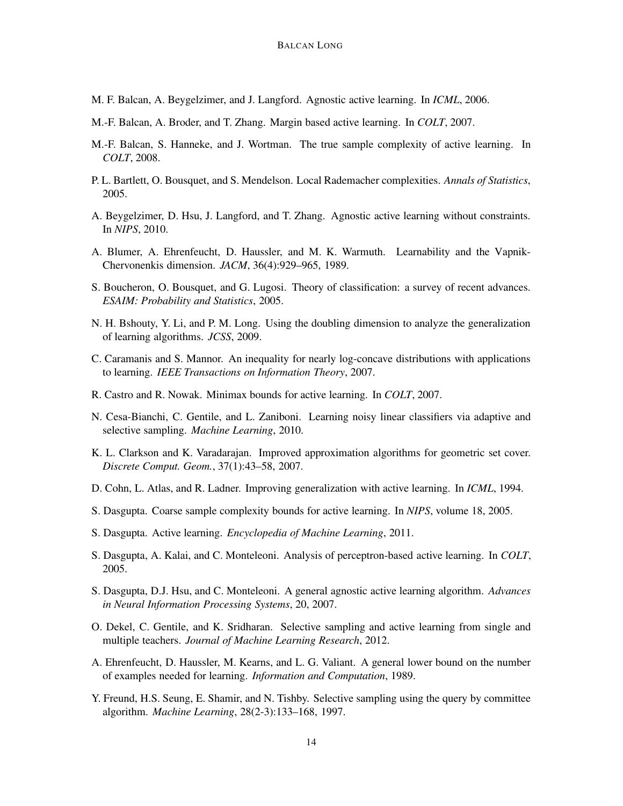- <span id="page-13-9"></span>M. F. Balcan, A. Beygelzimer, and J. Langford. Agnostic active learning. In *ICML*, 2006.
- <span id="page-13-4"></span>M.-F. Balcan, A. Broder, and T. Zhang. Margin based active learning. In *COLT*, 2007.
- <span id="page-13-12"></span>M.-F. Balcan, S. Hanneke, and J. Wortman. The true sample complexity of active learning. In *COLT*, 2008.
- <span id="page-13-5"></span>P. L. Bartlett, O. Bousquet, and S. Mendelson. Local Rademacher complexities. *Annals of Statistics*, 2005.
- <span id="page-13-13"></span>A. Beygelzimer, D. Hsu, J. Langford, and T. Zhang. Agnostic active learning without constraints. In *NIPS*, 2010.
- <span id="page-13-2"></span>A. Blumer, A. Ehrenfeucht, D. Haussler, and M. K. Warmuth. Learnability and the Vapnik-Chervonenkis dimension. *JACM*, 36(4):929–965, 1989.
- <span id="page-13-6"></span>S. Boucheron, O. Bousquet, and G. Lugosi. Theory of classification: a survey of recent advances. *ESAIM: Probability and Statistics*, 2005.
- <span id="page-13-0"></span>N. H. Bshouty, Y. Li, and P. M. Long. Using the doubling dimension to analyze the generalization of learning algorithms. *JCSS*, 2009.
- <span id="page-13-15"></span>C. Caramanis and S. Mannor. An inequality for nearly log-concave distributions with applications to learning. *IEEE Transactions on Information Theory*, 2007.
- <span id="page-13-11"></span>R. Castro and R. Nowak. Minimax bounds for active learning. In *COLT*, 2007.
- <span id="page-13-17"></span>N. Cesa-Bianchi, C. Gentile, and L. Zaniboni. Learning noisy linear classifiers via adaptive and selective sampling. *Machine Learning*, 2010.
- <span id="page-13-19"></span>K. L. Clarkson and K. Varadarajan. Improved approximation algorithms for geometric set cover. *Discrete Comput. Geom.*, 37(1):43–58, 2007.
- <span id="page-13-16"></span>D. Cohn, L. Atlas, and R. Ladner. Improving generalization with active learning. In *ICML*, 1994.
- <span id="page-13-8"></span>S. Dasgupta. Coarse sample complexity bounds for active learning. In *NIPS*, volume 18, 2005.
- <span id="page-13-3"></span>S. Dasgupta. Active learning. *Encyclopedia of Machine Learning*, 2011.
- <span id="page-13-14"></span>S. Dasgupta, A. Kalai, and C. Monteleoni. Analysis of perceptron-based active learning. In *COLT*, 2005.
- <span id="page-13-10"></span>S. Dasgupta, D.J. Hsu, and C. Monteleoni. A general agnostic active learning algorithm. *Advances in Neural Information Processing Systems*, 20, 2007.
- <span id="page-13-18"></span>O. Dekel, C. Gentile, and K. Sridharan. Selective sampling and active learning from single and multiple teachers. *Journal of Machine Learning Research*, 2012.
- <span id="page-13-1"></span>A. Ehrenfeucht, D. Haussler, M. Kearns, and L. G. Valiant. A general lower bound on the number of examples needed for learning. *Information and Computation*, 1989.
- <span id="page-13-7"></span>Y. Freund, H.S. Seung, E. Shamir, and N. Tishby. Selective sampling using the query by committee algorithm. *Machine Learning*, 28(2-3):133–168, 1997.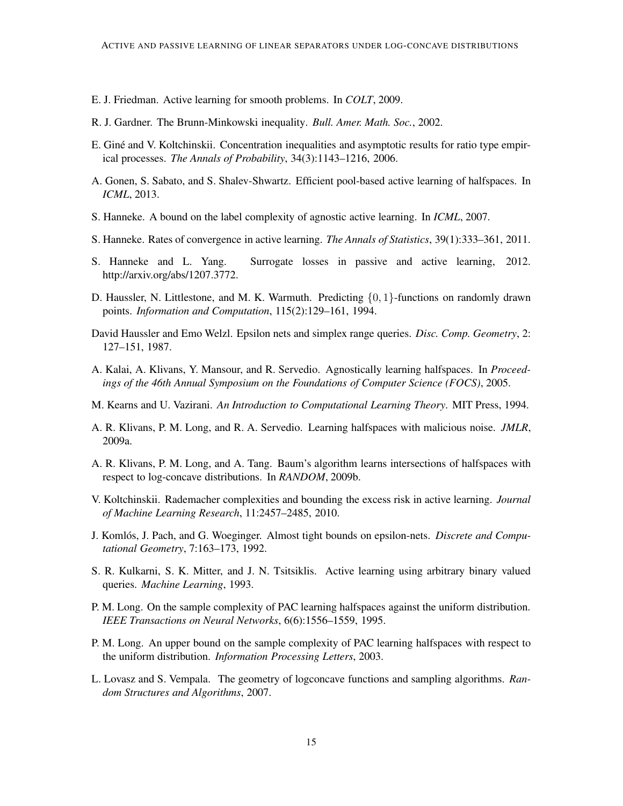- <span id="page-14-10"></span>E. J. Friedman. Active learning for smooth problems. In *COLT*, 2009.
- <span id="page-14-13"></span>R. J. Gardner. The Brunn-Minkowski inequality. *Bull. Amer. Math. Soc.*, 2002.
- <span id="page-14-5"></span>E. Giné and V. Koltchinskii. Concentration inequalities and asymptotic results for ratio type empirical processes. *The Annals of Probability*, 34(3):1143–1216, 2006.
- <span id="page-14-15"></span>A. Gonen, S. Sabato, and S. Shalev-Shwartz. Efficient pool-based active learning of halfspaces. In *ICML*, 2013.
- <span id="page-14-6"></span>S. Hanneke. A bound on the label complexity of agnostic active learning. In *ICML*, 2007.
- <span id="page-14-9"></span>S. Hanneke. Rates of convergence in active learning. *The Annals of Statistics*, 39(1):333–361, 2011.
- <span id="page-14-7"></span>S. Hanneke and L. Yang. Surrogate losses in passive and active learning, 2012. http://arxiv.org/abs/1207.3772.
- <span id="page-14-4"></span>D. Haussler, N. Littlestone, and M. K. Warmuth. Predicting  $\{0, 1\}$ -functions on randomly drawn points. *Information and Computation*, 115(2):129–161, 1994.
- <span id="page-14-16"></span>David Haussler and Emo Welzl. Epsilon nets and simplex range queries. *Disc. Comp. Geometry*, 2: 127–151, 1987.
- <span id="page-14-11"></span>A. Kalai, A. Klivans, Y. Mansour, and R. Servedio. Agnostically learning halfspaces. In *Proceedings of the 46th Annual Symposium on the Foundations of Computer Science (FOCS)*, 2005.
- <span id="page-14-3"></span>M. Kearns and U. Vazirani. *An Introduction to Computational Learning Theory*. MIT Press, 1994.
- <span id="page-14-14"></span>A. R. Klivans, P. M. Long, and R. A. Servedio. Learning halfspaces with malicious noise. *JMLR*, 2009a.
- <span id="page-14-12"></span>A. R. Klivans, P. M. Long, and A. Tang. Baum's algorithm learns intersections of halfspaces with respect to log-concave distributions. In *RANDOM*, 2009b.
- <span id="page-14-8"></span>V. Koltchinskii. Rademacher complexities and bounding the excess risk in active learning. *Journal of Machine Learning Research*, 11:2457–2485, 2010.
- <span id="page-14-17"></span>**J. Komlós, J. Pach, and G. Woeginger. Almost tight bounds on epsilon-nets.** *Discrete and Computational Geometry*, 7:163–173, 1992.
- <span id="page-14-18"></span>S. R. Kulkarni, S. K. Mitter, and J. N. Tsitsiklis. Active learning using arbitrary binary valued queries. *Machine Learning*, 1993.
- <span id="page-14-0"></span>P. M. Long. On the sample complexity of PAC learning halfspaces against the uniform distribution. *IEEE Transactions on Neural Networks*, 6(6):1556–1559, 1995.
- <span id="page-14-1"></span>P. M. Long. An upper bound on the sample complexity of PAC learning halfspaces with respect to the uniform distribution. *Information Processing Letters*, 2003.
- <span id="page-14-2"></span>L. Lovasz and S. Vempala. The geometry of logconcave functions and sampling algorithms. *Random Structures and Algorithms*, 2007.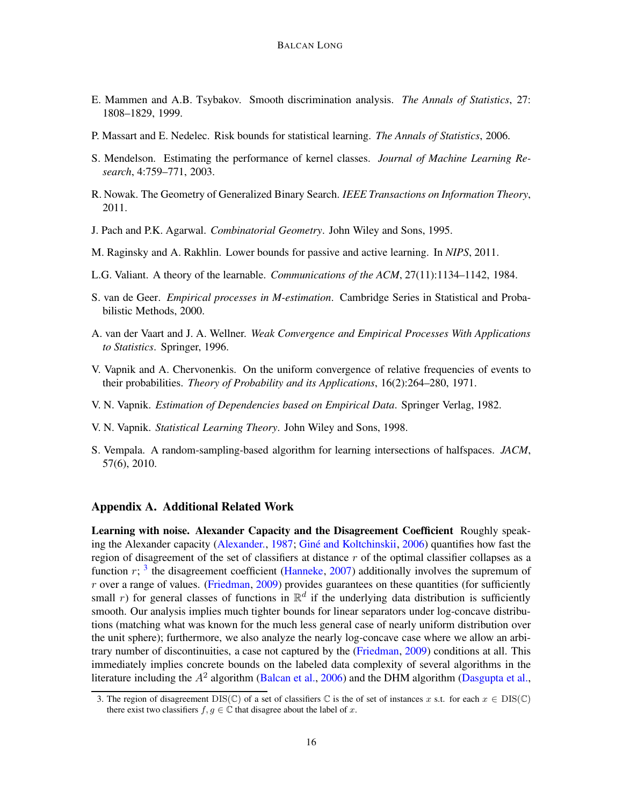- <span id="page-15-1"></span>E. Mammen and A.B. Tsybakov. Smooth discrimination analysis. *The Annals of Statistics*, 27: 1808–1829, 1999.
- <span id="page-15-2"></span>P. Massart and E. Nedelec. Risk bounds for statistical learning. *The Annals of Statistics*, 2006.
- <span id="page-15-8"></span>S. Mendelson. Estimating the performance of kernel classes. *Journal of Machine Learning Research*, 4:759–771, 2003.
- <span id="page-15-13"></span>R. Nowak. The Geometry of Generalized Binary Search. *IEEE Transactions on Information Theory*, 2011.
- <span id="page-15-14"></span>J. Pach and P.K. Agarwal. *Combinatorial Geometry*. John Wiley and Sons, 1995.
- <span id="page-15-9"></span>M. Raginsky and A. Rakhlin. Lower bounds for passive and active learning. In *NIPS*, 2011.
- <span id="page-15-3"></span>L.G. Valiant. A theory of the learnable. *Communications of the ACM*, 27(11):1134–1142, 1984.
- <span id="page-15-7"></span>S. van de Geer. *Empirical processes in M-estimation*. Cambridge Series in Statistical and Probabilistic Methods, 2000.
- <span id="page-15-6"></span>A. van der Vaart and J. A. Wellner. *Weak Convergence and Empirical Processes With Applications to Statistics*. Springer, 1996.
- <span id="page-15-0"></span>V. Vapnik and A. Chervonenkis. On the uniform convergence of relative frequencies of events to their probabilities. *Theory of Probability and its Applications*, 16(2):264–280, 1971.
- <span id="page-15-4"></span>V. N. Vapnik. *Estimation of Dependencies based on Empirical Data*. Springer Verlag, 1982.
- <span id="page-15-5"></span>V. N. Vapnik. *Statistical Learning Theory*. John Wiley and Sons, 1998.
- <span id="page-15-11"></span>S. Vempala. A random-sampling-based algorithm for learning intersections of halfspaces. *JACM*, 57(6), 2010.

## <span id="page-15-10"></span>Appendix A. Additional Related Work

Learning with noise. Alexander Capacity and the Disagreement Coefficient Roughly speak-ing the Alexander capacity [\(Alexander.](#page-12-0), [1987](#page-12-0); Giné and Koltchinskii, [2006](#page-14-5)) quantifies how fast the region of disagreement of the set of classifiers at distance  $r$  of the optimal classifier collapses as a function  $r$ ; <sup>[3](#page-15-12)</sup> the disagreement coefficient [\(Hanneke](#page-14-6), [2007\)](#page-14-6) additionally involves the supremum of  $r$  over a range of values. [\(Friedman](#page-14-10), [2009](#page-14-10)) provides guarantees on these quantities (for sufficiently small r) for general classes of functions in  $\mathbb{R}^d$  if the underlying data distribution is sufficiently smooth. Our analysis implies much tighter bounds for linear separators under log-concave distributions (matching what was known for the much less general case of nearly uniform distribution over the unit sphere); furthermore, we also analyze the nearly log-concave case where we allow an arbitrary number of discontinuities, a case not captured by the [\(Friedman](#page-14-10), [2009\)](#page-14-10) conditions at all. This immediately implies concrete bounds on the labeled data complexity of several algorithms in the literature including the  $A^2$  algorithm [\(Balcan et al.,](#page-13-9) [2006](#page-13-9)) and the DHM algorithm [\(Dasgupta et al.](#page-13-10),

<span id="page-15-12"></span><sup>3.</sup> The region of disagreement  $DIS(\mathbb{C})$  of a set of classifiers  $\mathbb{C}$  is the of set of instances x s.t. for each  $x \in DIS(\mathbb{C})$ there exist two classifiers  $f, g \in \mathbb{C}$  that disagree about the label of x.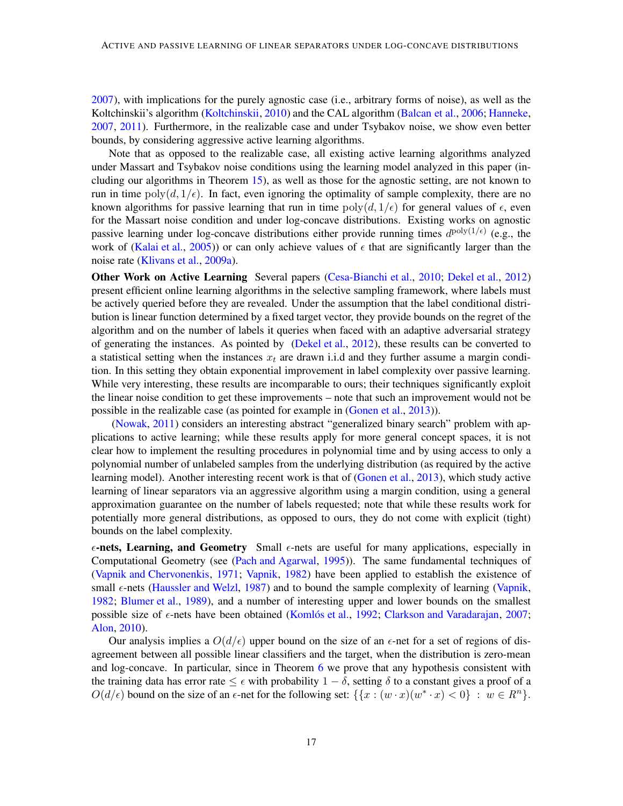[2007\)](#page-13-10), with implications for the purely agnostic case (i.e., arbitrary forms of noise), as well as the Koltchinskii's algorithm [\(Koltchinskii](#page-14-8), [2010](#page-14-8)) and the CAL algorithm [\(Balcan et al.](#page-13-9), [2006](#page-13-9); [Hanneke](#page-14-6), [2007,](#page-14-6) [2011\)](#page-14-9). Furthermore, in the realizable case and under Tsybakov noise, we show even better bounds, by considering aggressive active learning algorithms.

Note that as opposed to the realizable case, all existing active learning algorithms analyzed under Massart and Tsybakov noise conditions using the learning model analyzed in this paper (including our algorithms in Theorem [15\)](#page-11-4), as well as those for the agnostic setting, are not known to run in time  $poly(d, 1/\epsilon)$ . In fact, even ignoring the optimality of sample complexity, there are no known algorithms for passive learning that run in time  $poly(d, 1/\epsilon)$  for general values of  $\epsilon$ , even for the Massart noise condition and under log-concave distributions. Existing works on agnostic passive learning under log-concave distributions either provide running times  $d^{\text{poly}(1/\epsilon)}$  (e.g., the work of [\(Kalai et al.](#page-14-11), [2005](#page-14-11))) or can only achieve values of  $\epsilon$  that are significantly larger than the noise rate [\(Klivans et al.,](#page-14-14) [2009a\)](#page-14-14).

Other Work on Active Learning Several papers [\(Cesa-Bianchi et al.](#page-13-17), [2010](#page-13-17); [Dekel et al.](#page-13-18), [2012](#page-13-18)) present efficient online learning algorithms in the selective sampling framework, where labels must be actively queried before they are revealed. Under the assumption that the label conditional distribution is linear function determined by a fixed target vector, they provide bounds on the regret of the algorithm and on the number of labels it queries when faced with an adaptive adversarial strategy of generating the instances. As pointed by [\(Dekel et al.,](#page-13-18) [2012\)](#page-13-18), these results can be converted to a statistical setting when the instances  $x_t$  are drawn i.i.d and they further assume a margin condition. In this setting they obtain exponential improvement in label complexity over passive learning. While very interesting, these results are incomparable to ours; their techniques significantly exploit the linear noise condition to get these improvements – note that such an improvement would not be possible in the realizable case (as pointed for example in [\(Gonen et al.](#page-14-15), [2013](#page-14-15))).

[\(Nowak,](#page-15-13) [2011](#page-15-13)) considers an interesting abstract "generalized binary search" problem with applications to active learning; while these results apply for more general concept spaces, it is not clear how to implement the resulting procedures in polynomial time and by using access to only a polynomial number of unlabeled samples from the underlying distribution (as required by the active learning model). Another interesting recent work is that of [\(Gonen et al.](#page-14-15), [2013](#page-14-15)), which study active learning of linear separators via an aggressive algorithm using a margin condition, using a general approximation guarantee on the number of labels requested; note that while these results work for potentially more general distributions, as opposed to ours, they do not come with explicit (tight) bounds on the label complexity.

 $\epsilon$ -nets, Learning, and Geometry Small  $\epsilon$ -nets are useful for many applications, especially in Computational Geometry (see [\(Pach and Agarwal](#page-15-14), [1995](#page-15-14))). The same fundamental techniques of [\(Vapnik and Chervonenkis](#page-15-0), [1971;](#page-15-0) [Vapnik](#page-15-4), [1982\)](#page-15-4) have been applied to establish the existence of small  $\epsilon$ -nets [\(Haussler and Welzl](#page-14-16), [1987\)](#page-14-16) and to bound the sample complexity of learning [\(Vapnik](#page-15-4), [1982;](#page-15-4) [Blumer et al.](#page-13-2), [1989\)](#page-13-2), and a number of interesting upper and lower bounds on the smallest possible size of  $\epsilon$ -nets have been obtained (Komlós et al., [1992](#page-14-17); [Clarkson and Varadarajan](#page-13-19), [2007](#page-13-19); [Alon,](#page-12-3) [2010](#page-12-3)).

Our analysis implies a  $O(d/\epsilon)$  upper bound on the size of an  $\epsilon$ -net for a set of regions of disagreement between all possible linear classifiers and the target, when the distribution is zero-mean and log-concave. In particular, since in Theorem [6](#page-8-0) we prove that any hypothesis consistent with the training data has error rate  $\leq \epsilon$  with probability  $1 - \delta$ , setting  $\delta$  to a constant gives a proof of a  $O(d/\epsilon)$  bound on the size of an  $\epsilon$ -net for the following set:  $\{ \{x : (w \cdot x)(w^* \cdot x) < 0 \} : w \in R^n \}.$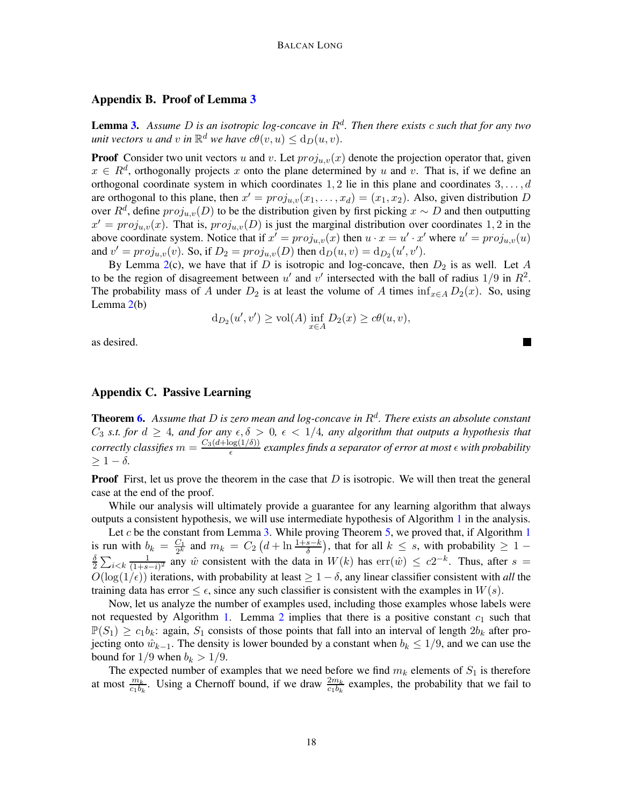## <span id="page-17-0"></span>Appendix B. Proof of Lemma [3](#page-5-3)

Lemma [3.](#page-5-3) *Assume* D *is an isotropic log-concave in* R<sup>d</sup> *. Then there exists* c *such that for any two unit vectors*  $u$  *and*  $v$  *in*  $\mathbb{R}^d$  *we have*  $c\theta(v, u) \le d_D(u, v)$ *.* 

**Proof** Consider two unit vectors u and v. Let  $proj_{u,v}(x)$  denote the projection operator that, given  $x \in R^d$ , orthogonally projects x onto the plane determined by u and v. That is, if we define an orthogonal coordinate system in which coordinates 1, 2 lie in this plane and coordinates  $3, \ldots, d$ are orthogonal to this plane, then  $x' = proj_{u,v}(x_1, \ldots, x_d) = (x_1, x_2)$ . Also, given distribution D over  $R^d$ , define  $proj_{u,v}(D)$  to be the distribution given by first picking  $x \sim D$  and then outputting  $x' = proj_{u,v}(x)$ . That is,  $proj_{u,v}(D)$  is just the marginal distribution over coordinates 1, 2 in the above coordinate system. Notice that if  $x' = proj_{u,v}(x)$  then  $u \cdot x = u' \cdot x'$  where  $u' = proj_{u,v}(u)$ and  $v' = proj_{u,v}(v)$ . So, if  $D_2 = proj_{u,v}(D)$  then  $d_D(u, v) = d_{D_2}(u', v')$ .

By Lemma [2\(](#page-5-2)c), we have that if D is isotropic and log-concave, then  $D_2$  is as well. Let A to be the region of disagreement between u' and v' intersected with the ball of radius  $1/9$  in  $R^2$ . The probability mass of A under  $D_2$  is at least the volume of A times inf<sub>x∈A</sub>  $D_2(x)$ . So, using Lemma [2\(](#page-5-2)b)

$$
d_{D_2}(u',v') \ge \text{vol}(A) \inf_{x \in A} D_2(x) \ge c\theta(u,v),
$$

as desired.

## <span id="page-17-1"></span>Appendix C. Passive Learning

Theorem [6.](#page-8-0) *Assume that* D *is zero mean and log-concave in* R<sup>d</sup> *. There exists an absolute constant*  $C_3$  *s.t. for*  $d \geq 4$ *, and for any*  $\epsilon, \delta > 0$ ,  $\epsilon < 1/4$ *, any algorithm that outputs a hypothesis that correctly classifies*  $m = \frac{C_3(d + \log(1/\delta))}{\epsilon}$  $\frac{\log(1/\theta)}{\epsilon}$  examples finds a separator of error at most  $\epsilon$  with probability  $> 1 - \delta$ .

**Proof** First, let us prove the theorem in the case that  $D$  is isotropic. We will then treat the general case at the end of the proof.

While our analysis will ultimately provide a guarantee for any learning algorithm that always outputs a consistent hypothesis, we will use intermediate hypothesis of Algorithm [1](#page-7-0) in the analysis.

Let  $c$  be the constant from Lemma [3.](#page-5-3) While proving Theorem [5,](#page-7-3) we proved that, if Algorithm [1](#page-7-0) is run with  $b_k = \frac{C_1}{2^k}$ is run with  $b_k = \frac{C_1}{2^k}$  and  $m_k = C_2 \left(d + \ln \frac{1+s-k}{\delta}\right)$ , that for all  $k \leq s$ , with probability  $\geq 1 - \frac{\delta}{\delta} \sum_{k=1}^{\infty} \frac{1}{2^k}$  any  $\hat{w}$  consistent with the data in  $W(k)$  has  $err(\hat{w}) \leq c2^{-k}$ . Thus, after  $s =$  $\frac{\delta}{2} \sum_{i < k} \frac{1}{(1+s)}$  $\frac{1}{(1+s-i)^2}$  any  $\hat{w}$  consistent with the data in  $W(k)$  has  $err(\hat{w}) \leq c2^{-k}$ . Thus, after  $s =$  $O(\log(1/\epsilon))$  iterations, with probability at least  $\geq 1-\delta$ , any linear classifier consistent with *all* the training data has error  $\leq \epsilon$ , since any such classifier is consistent with the examples in  $W(s)$ .

Now, let us analyze the number of examples used, including those examples whose labels were not requested by Algorithm [1.](#page-7-0) Lemma [2](#page-5-2) implies that there is a positive constant  $c_1$  such that  $\mathbb{P}(S_1) \geq c_1b_k$ : again,  $S_1$  consists of those points that fall into an interval of length  $2b_k$  after projecting onto  $\hat{w}_{k-1}$ . The density is lower bounded by a constant when  $b_k \leq 1/9$ , and we can use the bound for  $1/9$  when  $b_k > 1/9$ .

The expected number of examples that we need before we find  $m_k$  elements of  $S_1$  is therefore at most  $\frac{m_k}{c_1b_k}$ . Using a Chernoff bound, if we draw  $\frac{2m_k}{c_1b_k}$  examples, the probability that we fail to

ш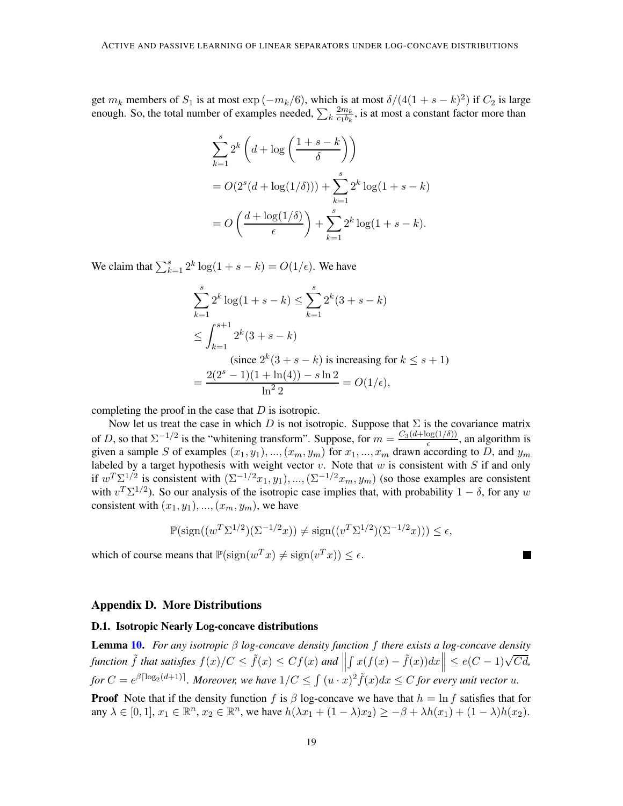get  $m_k$  members of  $S_1$  is at most  $\exp(-m_k/6)$ , which is at most  $\delta/(4(1+s-k)^2)$  if  $C_2$  is large enough. So, the total number of examples needed,  $\sum_{k} \frac{2m_k}{c_1b_k}$  $\frac{2m_k}{c_1b_k}$ , is at most a constant factor more than

$$
\sum_{k=1}^{s} 2^{k} \left( d + \log \left( \frac{1+s-k}{\delta} \right) \right)
$$
  
=  $O(2^{s} (d + \log(1/\delta))) + \sum_{k=1}^{s} 2^{k} \log(1+s-k)$   
=  $O\left( \frac{d + \log(1/\delta)}{\epsilon} \right) + \sum_{k=1}^{s} 2^{k} \log(1+s-k).$ 

We claim that  $\sum_{k=1}^{s} 2^k \log(1 + s - k) = O(1/\epsilon)$ . We have

$$
\sum_{k=1}^{s} 2^{k} \log(1+s-k) \le \sum_{k=1}^{s} 2^{k} (3+s-k)
$$
  
\n
$$
\le \int_{k=1}^{s+1} 2^{k} (3+s-k)
$$
  
\n(since  $2^{k} (3+s-k)$  is increasing for  $k \le s+1$ )  
\n
$$
= \frac{2(2^{s}-1)(1+\ln(4)) - s \ln 2}{\ln^{2} 2} = O(1/\epsilon),
$$

completing the proof in the case that  $D$  is isotropic.

Now let us treat the case in which D is not isotropic. Suppose that  $\Sigma$  is the covariance matrix of D, so that  $\Sigma^{-1/2}$  is the "whitening transform". Suppose, for  $m = \frac{C_3(d + \log(1/\delta))}{\epsilon}$  $\frac{\log(1/\delta)}{\epsilon}$ , an algorithm is given a sample S of examples  $(x_1, y_1), ..., (x_m, y_m)$  for  $x_1, ..., x_m$  drawn according to D, and  $y_m$ labeled by a target hypothesis with weight vector  $v$ . Note that  $w$  is consistent with  $S$  if and only if  $w^T \Sigma^{1/2}$  is consistent with  $(\Sigma^{-1/2} x_1, y_1), ..., (\Sigma^{-1/2} x_m, y_m)$  (so those examples are consistent with  $v^T \Sigma^{1/2}$ ). So our analysis of the isotropic case implies that, with probability  $1 - \delta$ , for any w consistent with  $(x_1, y_1), ..., (x_m, y_m)$ , we have

$$
\mathbb{P}(\operatorname{sign}((w^T \Sigma^{1/2})(\Sigma^{-1/2} x)) \neq \operatorname{sign}((v^T \Sigma^{1/2})(\Sigma^{-1/2} x))) \leq \epsilon,
$$

H

which of course means that  $\mathbb{P}(\text{sign}(w^T x) \neq \text{sign}(v^T x)) \leq \epsilon$ .

#### <span id="page-18-0"></span>Appendix D. More Distributions

#### D.1. Isotropic Nearly Log-concave distributions

Lemma [10.](#page-10-1) *For any isotropic* β *log-concave density function* f *there exists a log-concave density function*  $\tilde{f}$  *that satisfies*  $f(x)/C \leq \tilde{f}(x) \leq Cf(x)$  *and*  $|| \int x(f(x) - \tilde{f}(x)) dx || \leq e(C - 1)\sqrt{Cd}$ ,  $\frac{1}{2}$ for  $C = e^{\beta \lceil \log_2(d+1) \rceil}$ . Moreover, we have  $1/C \leq \int (u \cdot x)^2 \tilde{f}(x) dx \leq C$  for every unit vector  $u$ .

**Proof** Note that if the density function f is  $\beta$  log-concave we have that  $h = \ln f$  satisfies that for any  $\lambda \in [0,1], x_1 \in \mathbb{R}^n, x_2 \in \mathbb{R}^n$ , we have  $h(\lambda x_1 + (1 - \lambda)x_2) \ge -\beta + \lambda h(x_1) + (1 - \lambda)h(x_2)$ .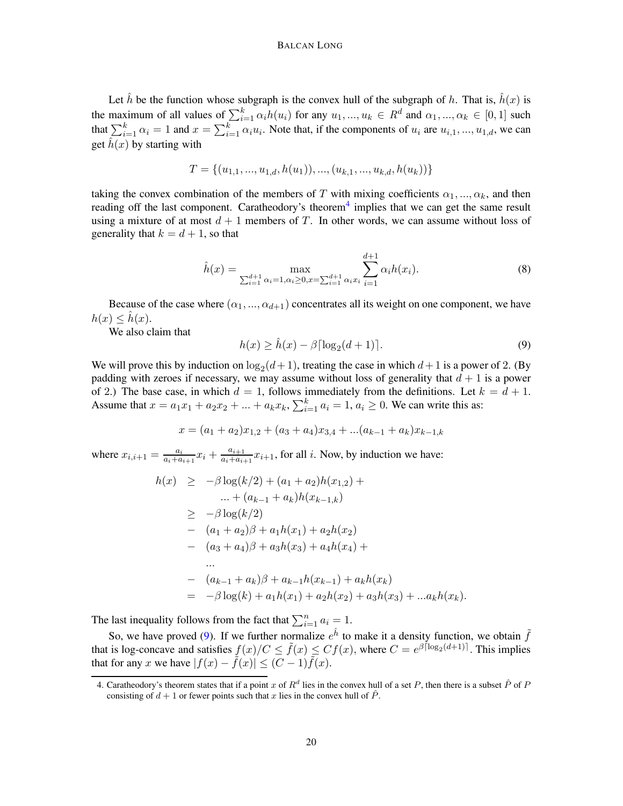Let  $\hat{h}$  be the function whose subgraph is the convex hull of the subgraph of h. That is,  $\hat{h}(x)$  is the maximum of all values of  $\sum_{i=1}^{k} \alpha_i h(u_i)$  for any  $u_1, ..., u_k \in R^d$  and  $\alpha_1, ..., \alpha_k \in [0, 1]$  such that  $\sum_{i=1}^{k} \alpha_i = 1$  and  $x = \sum_{i=1}^{k} \alpha_i u_i$ . Note that, if the components of  $u_i$  are  $u_{i,1},...,u_{1,d}$ , we can get  $\hat{h}(x)$  by starting with

$$
T = \{(u_{1,1},...,u_{1,d}, h(u_1)),...,(u_{k,1},...,u_{k,d}, h(u_k))\}
$$

taking the convex combination of the members of T with mixing coefficients  $\alpha_1, ..., \alpha_k$ , and then reading off the last component. Caratheodory's theorem<sup>[4](#page-19-0)</sup> implies that we can get the same result using a mixture of at most  $d+1$  members of T. In other words, we can assume without loss of generality that  $k = d + 1$ , so that

$$
\hat{h}(x) = \max_{\sum_{i=1}^{d+1} \alpha_i = 1, \alpha_i \ge 0, x = \sum_{i=1}^{d+1} \alpha_i x_i} \sum_{i=1}^{d+1} \alpha_i h(x_i).
$$
 (8)

Because of the case where  $(\alpha_1, ..., \alpha_{d+1})$  concentrates all its weight on one component, we have  $h(x) \leq \hat{h}(x)$ .

We also claim that

<span id="page-19-1"></span>
$$
h(x) \ge \hat{h}(x) - \beta \lceil \log_2(d+1) \rceil. \tag{9}
$$

We will prove this by induction on  $\log_2(d+1)$ , treating the case in which  $d+1$  is a power of 2. (By padding with zeroes if necessary, we may assume without loss of generality that  $d + 1$  is a power of 2.) The base case, in which  $d = 1$ , follows immediately from the definitions. Let  $k = d + 1$ . Assume that  $x = a_1x_1 + a_2x_2 + ... + a_kx_k$ ,  $\sum_{i=1}^{k} a_i = 1$ ,  $a_i \ge 0$ . We can write this as:

$$
x = (a_1 + a_2)x_{1,2} + (a_3 + a_4)x_{3,4} + ... (a_{k-1} + a_k)x_{k-1,k}
$$

where  $x_{i,i+1} = \frac{a_i}{a_i + a}$  $\frac{a_i}{a_i+a_{i+1}}x_i + \frac{a_{i+1}}{a_i+a_{i+1}}$  $\frac{a_{i+1}}{a_i+a_{i+1}}x_{i+1}$ , for all *i*. Now, by induction we have:

$$
h(x) \ge -\beta \log(k/2) + (a_1 + a_2)h(x_{1,2}) +
$$
  
\n
$$
\therefore + (a_{k-1} + a_k)h(x_{k-1,k})
$$
  
\n
$$
\ge -\beta \log(k/2)
$$
  
\n
$$
- (a_1 + a_2)\beta + a_1h(x_1) + a_2h(x_2)
$$
  
\n
$$
- (a_3 + a_4)\beta + a_3h(x_3) + a_4h(x_4) +
$$
  
\n...  
\n
$$
- (a_{k-1} + a_k)\beta + a_{k-1}h(x_{k-1}) + a_kh(x_k)
$$
  
\n
$$
= -\beta \log(k) + a_1h(x_1) + a_2h(x_2) + a_3h(x_3) + ...a_kh(x_k).
$$

The last inequality follows from the fact that  $\sum_{i=1}^{n} a_i = 1$ .

So, we have proved [\(9\)](#page-19-1). If we further normalize  $e^{\hat{h}}$  to make it a density function, we obtain  $\tilde{f}$ that is log-concave and satisfies  $\frac{f(x)}{f(x)} \leq \tilde{f}(x) \leq Cf(x)$ , where  $C = e^{\beta \lceil \log_2(d+1) \rceil}$ . This implies that for any x we have  $|f(x) - \tilde{f}(x)| \leq (C - 1)\tilde{f}(x)$ .

<span id="page-19-0"></span><sup>4.</sup> Caratheodory's theorem states that if a point x of  $R^d$  lies in the convex hull of a set P, then there is a subset  $\hat{P}$  of F consisting of  $d + 1$  or fewer points such that x lies in the convex hull of  $\hat{P}$ .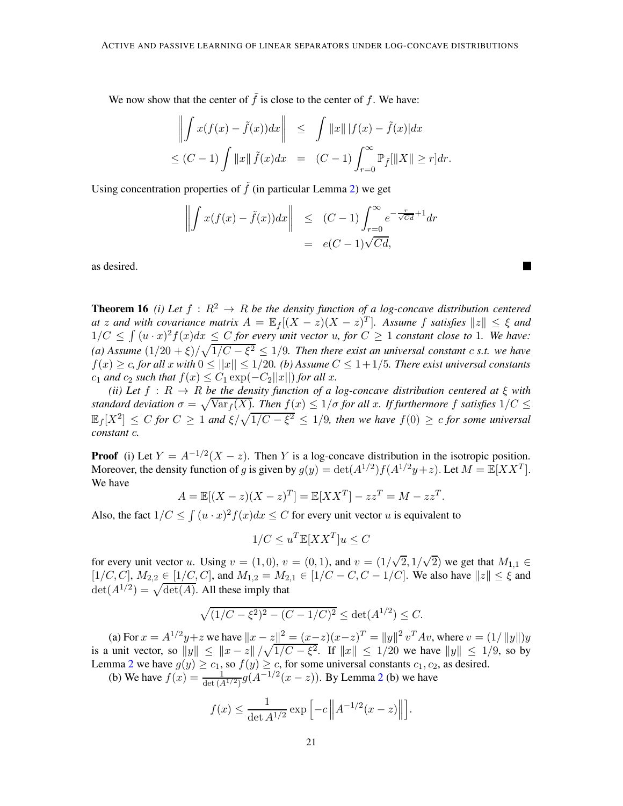We now show that the center of  $\tilde{f}$  is close to the center of f. We have:

$$
\left\| \int x(f(x) - \tilde{f}(x)) dx \right\| \leq \int \|x\| |f(x) - \tilde{f}(x)| dx
$$
  

$$
\leq (C - 1) \int \|x\| \tilde{f}(x) dx = (C - 1) \int_{r=0}^{\infty} \mathbb{P}_{\tilde{f}}[\|X\| \geq r] dr.
$$

Using concentration properties of  $\tilde{f}$  (in particular Lemma [2\)](#page-5-2) we get

$$
\left\| \int x(f(x) - \tilde{f}(x)) dx \right\| \le (C - 1) \int_{r=0}^{\infty} e^{-\frac{r}{\sqrt{C}d} + 1} dr
$$
  
=  $e(C - 1)\sqrt{C}d$ ,

<span id="page-20-0"></span>as desired.

**Theorem 16** *(i) Let*  $f : R^2 \to R$  *be the density function of a log-concave distribution centered at* z and with covariance matrix  $A = \mathbb{E}_f[(X - z)(X - z)^T]$ . Assume f satisfies  $||z|| \leq \xi$  and  $1/C \leq \int (u \cdot x)^2 f(x) dx \leq C$  *for every unit vector* u, *for*  $C \geq 1$  *constant close to* 1*. We have:* (a) Assume  $\frac{1}{20} + \frac{\xi}{\sqrt{1/C} - \xi^2} \leq \frac{1}{9}$ . Then there exist an universal constant c *s.t.* we have  $f(x) \geq c$ , for all x with  $0 \leq ||x|| \leq 1/20$ . (b) Assume  $C \leq 1+1/5$ . There exist universal constants  $c_1$  *and*  $c_2$  *such that*  $f(x) \leq C_1 \exp(-C_2||x||)$  *for all x.* 

*(ii)* Let  $f : R \to R$  *be the density function of a log-concave distribution centered at*  $\xi$  *with standard deviation*  $\sigma = \sqrt{\text{Var}_f(X)}$ . Then  $f(x) \leq 1/\sigma$  for all x. If furthermore f satisfies  $1/C \leq$  $\mathbb{E}_f[X^2] \leq C$  for  $C \geq 1$  and  $\xi/\sqrt{1/C - \xi^2} \leq 1/9$ , then we have  $f(0) \geq c$  for some universal *constant* c*.*

**Proof** (i) Let  $Y = A^{-1/2}(X - z)$ . Then Y is a log-concave distribution in the isotropic position. Moreover, the density function of g is given by  $g(y) = \det(A^{1/2}) f(A^{1/2}y + z)$ . Let  $M = \mathbb{E}[XX^T]$ . We have

$$
A = \mathbb{E}[(X - z)(X - z)^{T}] = \mathbb{E}[XX^{T}] - zz^{T} = M - zz^{T}
$$

.

Also, the fact  $1/C \le \int (u \cdot x)^2 f(x) dx \le C$  for every unit vector u is equivalent to

$$
1/C \le u^T \mathbb{E}[XX^T]u \le C
$$

for every unit vector u. Using  $v = (1,0)$ ,  $v = (0,1)$ , and  $v = (1/\sqrt{2}, 1/\sqrt{2})$  we get that  $M_{1,1} \in$  $[1/C, C]$ ,  $M_{2,2} \in [1/C, C]$ , and  $M_{1,2} = M_{2,1} \in [1/C - C, C - 1/C]$ . We also have  $||z|| \le \xi$  and  $\det(A^{1/2}) = \sqrt{\det(A)}$ . All these imply that

$$
\sqrt{(1/C - \xi^2)^2 - (C - 1/C)^2} \le \det(A^{1/2}) \le C.
$$

(a) For  $x = A^{1/2}y + z$  we have  $||x - z||^2 = (x - z)(x - z)^T = ||y||^2 v^T A v$ , where  $v = (1/||y||)y$ is a unit vector, so  $||y|| \le ||x - z|| / \sqrt{1/C - \xi^2}$ . If  $||x|| \le 1/20$  we have  $||y|| \le 1/9$ , so by Lemma [2](#page-5-2) we have  $g(y) \ge c_1$ , so  $f(y) \ge c_2$ , for some universal constants  $c_1, c_2$ , as desired.

(b) We have  $f(x) = \frac{1}{\det(A^{1/2})} g(A^{-1/2}(x - z))$  $f(x) = \frac{1}{\det(A^{1/2})} g(A^{-1/2}(x - z))$  $f(x) = \frac{1}{\det(A^{1/2})} g(A^{-1/2}(x - z))$ . By Lemma 2 (b) we have

$$
f(x) \le \frac{1}{\det A^{1/2}} \exp \left[ -c \left\| A^{-1/2} (x - z) \right\| \right].
$$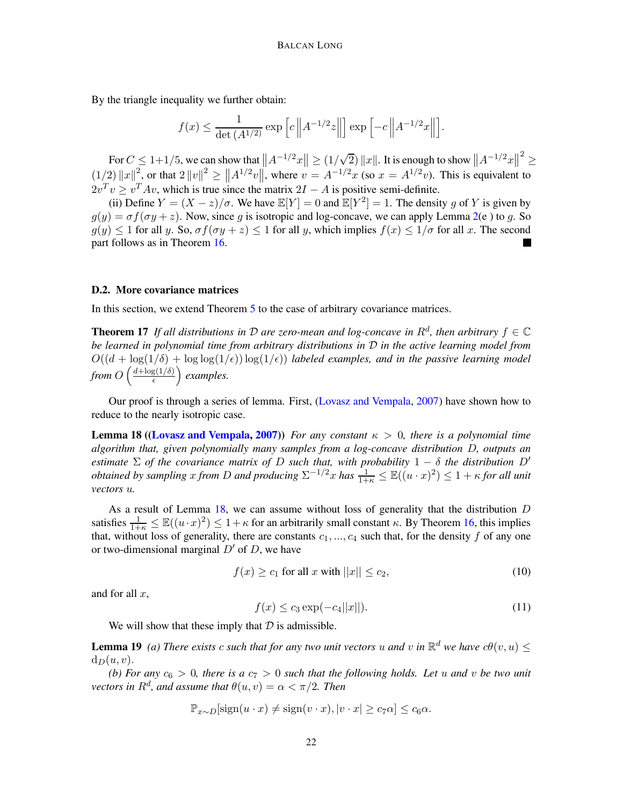By the triangle inequality we further obtain:

$$
f(x) \le \frac{1}{\det(A^{1/2})} \exp \left[ c \left\| A^{-1/2} z \right\| \right] \exp \left[ -c \left\| A^{-1/2} x \right\| \right].
$$

For  $C \le 1+1/5$ , we can show that  $||A^{-1/2}x|| \ge (1/\sqrt{2}) ||x||$ . It is enough to show  $||A^{-1/2}x||$ 2 ≥  $(1/2) ||x||^2$ , or that  $2 ||v||^2 \ge ||A^{1/2}v||$ , where  $v = A^{-1/2}x$  (so  $x = A^{1/2}v$ ). This is equivalent to  $2v^T v \ge v^T A v$ , which is true since the matrix  $2I - A$  is positive semi-definite.

(ii) Define  $Y = (X - z)/\sigma$ . We have  $\mathbb{E}[Y] = 0$  and  $\mathbb{E}[Y^2] = 1$ . The density g of Y is given by  $g(y) = \sigma f(\sigma y + z)$ . Now, since g is isotropic and log-concave, we can apply Lemma [2\(](#page-5-2)e) to g. So  $g(y) \leq 1$  for all y. So,  $\sigma f(\sigma y + z) \leq 1$  for all y, which implies  $f(x) \leq 1/\sigma$  for all x. The second part follows as in Theorem [16.](#page-20-0)

#### D.2. More covariance matrices

<span id="page-21-4"></span>In this section, we extend Theorem [5](#page-7-3) to the case of arbitrary covariance matrices.

**Theorem 17** If all distributions in D are zero-mean and log-concave in  $R^d$ , then arbitrary  $f \in \mathbb{C}$ *be learned in polynomial time from arbitrary distributions in* D *in the active learning model from*  $O((d + \log(1/\delta) + \log \log(1/\epsilon)) \log(1/\epsilon))$  *labeled examples, and in the passive learning model* from  $O\left(\frac{d + \log(1/\delta)}{\epsilon}\right)$  $\left(\frac{g(1/\delta)}{\epsilon}\right)$  examples.

<span id="page-21-0"></span>Our proof is through a series of lemma. First, [\(Lovasz and Vempala,](#page-14-2) [2007](#page-14-2)) have shown how to reduce to the nearly isotropic case.

**Lemma 18 ([\(Lovasz and Vempala,](#page-14-2) [2007\)](#page-14-2))** *For any constant*  $\kappa > 0$ *, there is a polynomial time algorithm that, given polynomially many samples from a log-concave distribution* D*, outputs an estimate*  $\Sigma$  *of the covariance matrix of* D *such that, with probability*  $1 - \delta$  *the distribution*  $D'$ *obtained by sampling* x *from* D *and producing*  $\Sigma^{-1/2}$ x *has*  $\frac{1}{1+\kappa} \leq \mathbb{E}((u \cdot x)^2) \leq 1 + \kappa$  *for all unit vectors* u*.*

As a result of Lemma  $18$ , we can assume without loss of generality that the distribution  $D$ satisfies  $\frac{1}{1+\kappa} \le \mathbb{E}((u \cdot x)^2) \le 1+\kappa$  for an arbitrarily small constant  $\kappa$ . By Theorem [16,](#page-20-0) this implies that, without loss of generality, there are constants  $c_1, ..., c_4$  such that, for the density f of any one or two-dimensional marginal  $D'$  of  $D$ , we have

<span id="page-21-1"></span>
$$
f(x) \ge c_1 \text{ for all } x \text{ with } ||x|| \le c_2,\tag{10}
$$

and for all  $x$ ,

<span id="page-21-3"></span><span id="page-21-2"></span>
$$
f(x) \le c_3 \exp(-c_4 ||x||). \tag{11}
$$

We will show that these imply that  $D$  is admissible.

**Lemma 19** *(a) There exists* c *such that for any two unit vectors* u *and* v *in*  $\mathbb{R}^d$  *we have*  $c\theta(v, u) \leq$  $d_D(u, v)$ .

*(b) For any*  $c_6 > 0$ , there is a  $c_7 > 0$  such that the following holds. Let u and v be two unit  $\alpha$  *vectors in*  $R^d$ *, and assume that*  $\theta(u, v) = \alpha < \pi/2$ *. Then* 

$$
\mathbb{P}_{x \sim D}[\text{sign}(u \cdot x) \neq \text{sign}(v \cdot x), |v \cdot x| \geq c_7 \alpha] \leq c_6 \alpha.
$$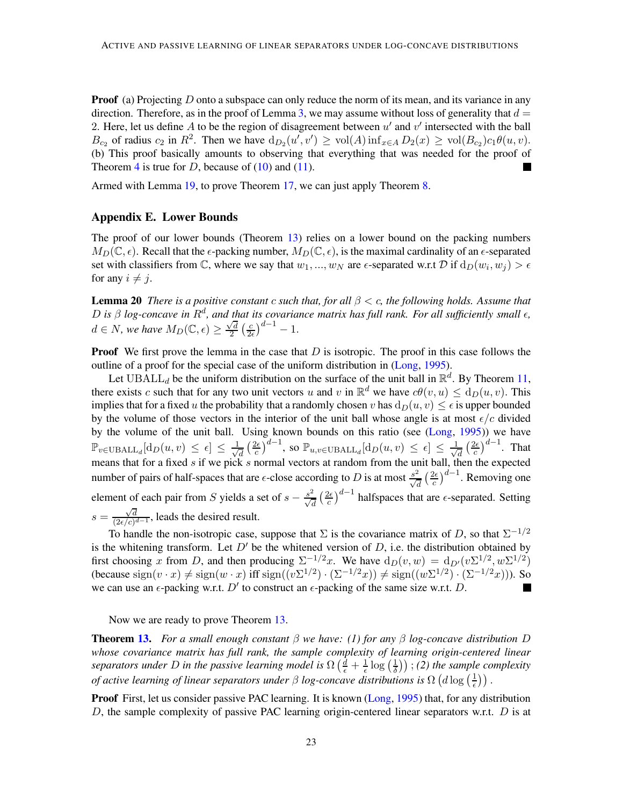**Proof** (a) Projecting  $D$  onto a subspace can only reduce the norm of its mean, and its variance in any direction. Therefore, as in the proof of Lemma [3,](#page-5-3) we may assume without loss of generality that  $d =$ 2. Here, let us define A to be the region of disagreement between  $u'$  and  $v'$  intersected with the ball  $B_{c_2}$  of radius  $c_2$  in  $R^2$ . Then we have  $d_{D_2}(u', v') \ge \text{vol}(A) \inf_{x \in A} D_2(x) \ge \text{vol}(B_{c_2}) c_1 \theta(u, v)$ . (b) This proof basically amounts to observing that everything that was needed for the proof of Theorem [4](#page-5-0) is true for D, because of  $(10)$  and  $(11)$ .

Armed with Lemma [19,](#page-21-3) to prove Theorem [17,](#page-21-4) we can just apply Theorem [8.](#page-9-1)

## <span id="page-22-0"></span>Appendix E. Lower Bounds

The proof of our lower bounds (Theorem [13\)](#page-11-5) relies on a lower bound on the packing numbers  $M_D(\mathbb{C}, \epsilon)$ . Recall that the  $\epsilon$ -packing number,  $M_D(\mathbb{C}, \epsilon)$ , is the maximal cardinality of an  $\epsilon$ -separated set with classifiers from C, where we say that  $w_1, ..., w_N$  are  $\epsilon$ -separated w.r.t D if  $d_D(w_i, w_j) > \epsilon$ for any  $i \neq j$ .

<span id="page-22-1"></span>Lemma 20 *There is a positive constant* c *such that, for all* β < c*, the following holds. Assume that* D is  $β$  *log-concave in*  $R<sup>d</sup>$ *, and that its covariance matrix has full rank. For all sufficiently small*  $ε$ *,*  $d \in N$ , we have  $M_D(\mathbb{C}, \epsilon) \geq \frac{\sqrt{d}}{2}$  $\frac{d}{2}$   $\left(\frac{c}{2\epsilon}\right)$  $\frac{c}{2\epsilon}\big)^{d-1} - 1.$ 

**Proof** We first prove the lemma in the case that  $D$  is isotropic. The proof in this case follows the outline of a proof for the special case of the uniform distribution in [\(Long](#page-14-0), [1995](#page-14-0)).

Let UBALL<sub>d</sub> be the uniform distribution on the surface of the unit ball in  $\mathbb{R}^d$ . By Theorem [11,](#page-10-2) there exists c such that for any two unit vectors u and v in  $\mathbb{R}^d$  we have  $c\theta(v, u) \le d_D(u, v)$ . This implies that for a fixed u the probability that a randomly chosen v has  $d_D(u, v) \leq \epsilon$  is upper bounded by the volume of those vectors in the interior of the unit ball whose angle is at most  $\epsilon/c$  divided by the volume of the unit ball. Using known bounds on this ratio (see [\(Long,](#page-14-0) [1995](#page-14-0))) we have  $\mathbb{P}_{v \in \text{UBALL}_d}[\text{d}_D(u, v) \leq \epsilon] \leq \frac{1}{\sqrt{2}}$  $\frac{1}{d} \left( \frac{2\epsilon}{c} \right)$  $\frac{d\epsilon}{d c}\big)^{d-1}$ , so  $\mathbb{P}_{u,v\in \mathrm{UBALL}_d}[\mathrm{d}_D(u,v)\,\leq\,\epsilon]\,\leq\,\frac{1}{\sqrt{d}}$  $\frac{1}{d} \left( \frac{2\epsilon}{c} \right)$  $\frac{2\epsilon}{c}$ )<sup>d-1</sup>. That means that for a fixed s if we pick s normal vectors at random from the unit ball, then the expected number of pairs of half-spaces that are  $\epsilon$ -close according to D is at most  $\frac{s^2}{\sqrt{d}}\left(\frac{2\epsilon}{c}\right)$  $\frac{2\epsilon}{c}$  $\Big)^{d-1}$ . Removing one element of each pair from S yields a set of  $s - \frac{s^2}{\sqrt{d}} \left(\frac{2\epsilon}{c}\right)$  $\frac{d\epsilon}{d}$  halfspaces that are  $\epsilon$ -separated. Setting  $s = \frac{\sqrt{d}}{(2\epsilon/c)^d}$  $\frac{\sqrt{d}}{(2\epsilon/c)^{d-1}}$ , leads the desired result.

To handle the non-isotropic case, suppose that  $\Sigma$  is the covariance matrix of D, so that  $\Sigma^{-1/2}$ is the whitening transform. Let  $D'$  be the whitened version of  $D$ , i.e. the distribution obtained by first choosing x from D, and then producing  $\Sigma^{-1/2}x$ . We have  $d_D(v, w) = d_{D'}(v \Sigma^{1/2}, w \Sigma^{1/2})$ (because  $\text{sign}(v \cdot x) \neq \text{sign}(w \cdot x)$  iff  $\text{sign}((v \Sigma^{1/2}) \cdot (\Sigma^{-1/2} x)) \neq \text{sign}((w \Sigma^{1/2}) \cdot (\Sigma^{-1/2} x))$ ). So we can use an  $\epsilon$ -packing w.r.t. D' to construct an  $\epsilon$ -packing of the same size w.r.t. D.

Now we are ready to prove Theorem [13.](#page-11-5)

Theorem [13.](#page-11-5) *For a small enough constant* β *we have: (1) for any* β *log-concave distribution* D *whose covariance matrix has full rank, the sample complexity of learning origin-centered linear* separators under D in the passive learning model is  $\Omega\left(\frac{d}{\epsilon} + \frac{1}{\epsilon}\log\left(\frac{1}{\delta}\right)\right)$  $(\frac{1}{\delta})$ ); (2) the sample complexity *of active learning of linear separators under*  $\beta$  *log-concave distributions is*  $\Omega$   $(d \log(\frac{1}{\epsilon}))$  $\frac{1}{\epsilon})$ ).

Proof First, let us consider passive PAC learning. It is known [\(Long,](#page-14-0) [1995](#page-14-0)) that, for any distribution D, the sample complexity of passive PAC learning origin-centered linear separators w.r.t.  $D$  is at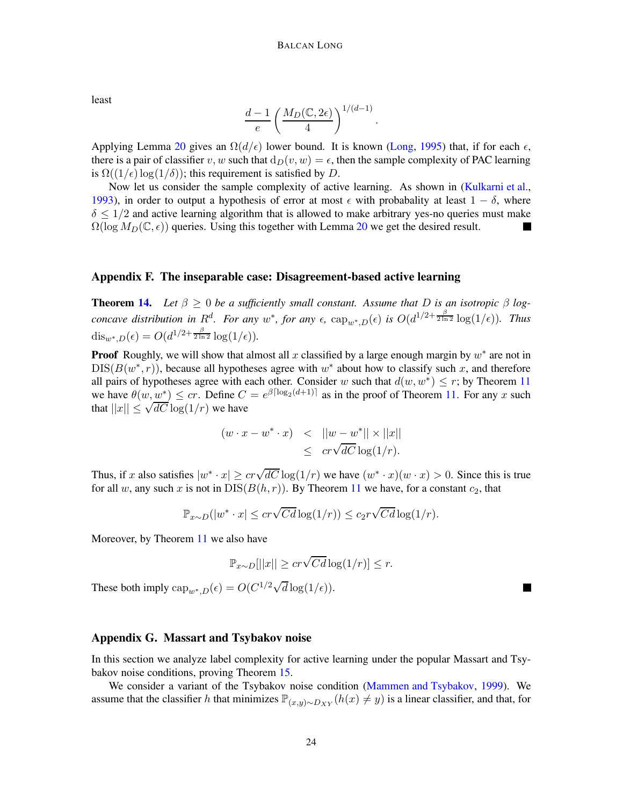least

$$
\frac{d-1}{e}\left(\frac{M_D(\mathbb{C}, 2\epsilon)}{4}\right)^{1/(d-1)}.
$$

Applying Lemma [20](#page-22-1) gives an  $\Omega(d/\epsilon)$  lower bound. It is known [\(Long](#page-14-0), [1995](#page-14-0)) that, if for each  $\epsilon$ , there is a pair of classifier v, w such that  $d_D(v, w) = \epsilon$ , then the sample complexity of PAC learning is  $\Omega((1/\epsilon) \log(1/\delta))$ ; this requirement is satisfied by D.

Now let us consider the sample complexity of active learning. As shown in [\(Kulkarni et al.](#page-14-18), [1993\)](#page-14-18), in order to output a hypothesis of error at most  $\epsilon$  with probabality at least  $1 - \delta$ , where  $\delta \leq 1/2$  and active learning algorithm that is allowed to make arbitrary yes-no queries must make  $\Omega(\log M_D(\mathbb{C}, \epsilon))$  queries. Using this together with Lemma [20](#page-22-1) we get the desired result.

#### <span id="page-23-0"></span>Appendix F. The inseparable case: Disagreement-based active learning

**Theorem [14.](#page-11-3)** Let  $\beta \geq 0$  be a sufficiently small constant. Assume that D is an isotropic  $\beta$  log*concave distribution in*  $R^d$ *. For any*  $w^*$ *, for any*  $\epsilon$ *,*  $\text{cap}_{w^*,D}(\epsilon)$  *is*  $O(d^{1/2+\frac{\beta}{2\ln 2}}\log(1/\epsilon))$ *. Thus* dis<sub>w</sub>\*, $D(\epsilon) = O(d^{1/2 + \frac{\beta}{2 \ln 2}} \log(1/\epsilon)).$ 

**Proof** Roughly, we will show that almost all x classified by a large enough margin by  $w^*$  are not in  $DIS(B(w^*, r))$ , because all hypotheses agree with  $w^*$  about how to classify such x, and therefore all pairs of hypotheses agree with each other. Consider w such that  $d(w, w^*) \le r$ ; by Theorem [11](#page-10-2) we have  $\theta(w, w^*) \leq cr$ . Define  $C = e^{\beta \lceil \log_2(d+1) \rceil}$  as in the proof of Theorem [11.](#page-10-2) For any x such that  $||x|| \leq \sqrt{dC} \log(1/r)$  we have

$$
(w \cdot x - w^* \cdot x) < ||w - w^*|| \times ||x||
$$
  

$$
\leq c r \sqrt{dC} \log(1/r).
$$

Thus, if x also satisfies  $|w^* \cdot x| \geq c r \sqrt{dC} \log(1/r)$  we have  $(w^* \cdot x)(w \cdot x) > 0$ . Since this is true for all w, any such x is not in  $DIS(B(h, r))$ . By Theorem [11](#page-10-2) we have, for a constant  $c_2$ , that

$$
\mathbb{P}_{x \sim D}(|w^* \cdot x| \leq c r \sqrt{Cd} \log(1/r)) \leq c_2 r \sqrt{Cd} \log(1/r).
$$

Moreover, by Theorem [11](#page-10-2) we also have

$$
\mathbb{P}_{x \sim D}[||x|| \geq cr\sqrt{Cd}\log(1/r)] \leq r.
$$

These both imply  $\text{cap}_{w^*,D}(\epsilon) = O(C^{1/2}\sqrt{d}\log(1/\epsilon)).$ 

#### <span id="page-23-1"></span>Appendix G. Massart and Tsybakov noise

In this section we analyze label complexity for active learning under the popular Massart and Tsybakov noise conditions, proving Theorem [15.](#page-11-4)

We consider a variant of the Tsybakov noise condition [\(Mammen and Tsybakov](#page-15-1), [1999\)](#page-15-1). We assume that the classifier h that minimizes  $\mathbb{P}_{(x,y)\sim D_{XY}}(h(x) \neq y)$  is a linear classifier, and that, for

 $\blacksquare$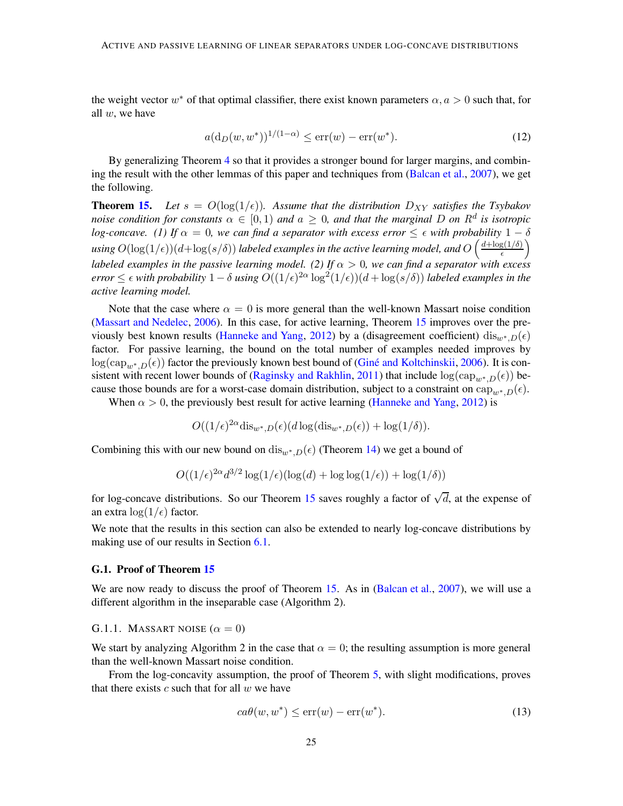the weight vector  $w^*$  of that optimal classifier, there exist known parameters  $\alpha, a > 0$  such that, for all  $w$ , we have

<span id="page-24-1"></span>
$$
a(\mathrm{d}_D(w, w^*))^{1/(1-\alpha)} \le \text{err}(w) - \text{err}(w^*). \tag{12}
$$

By generalizing Theorem [4](#page-5-0) so that it provides a stronger bound for larger margins, and combin-ing the result with the other lemmas of this paper and techniques from [\(Balcan et al.,](#page-13-4) [2007](#page-13-4)), we get the following.

**Theorem [15.](#page-11-4)** Let  $s = O(\log(1/\epsilon))$ . Assume that the distribution  $D_{XY}$  satisfies the Tsybakov *noise condition for constants*  $\alpha \in [0,1)$  *and*  $a \ge 0$ *, and that the marginal* D *on*  $R^d$  *is isotropic log-concave.* (1) If  $\alpha = 0$ , we can find a separator with excess error  $\leq \epsilon$  *with probability*  $1 - \delta$ using  $O(\log(1/\epsilon))(d + \log(s/\delta))$  labeled examples in the active learning model, and  $O\left(\frac{d + \log(1/\delta)}{\epsilon}\right)$  $\frac{g(1/\delta)}{\epsilon}$ *labeled examples in the passive learning model.* (2) If  $\alpha > 0$ , we can find a separator with excess  $error \leq \epsilon$  *with probability*  $1-\delta$  *using*  $O((1/\epsilon)^{2\alpha} \log^2(1/\epsilon))(d + \log(s/\delta))$  *labeled examples in the active learning model.*

Note that the case where  $\alpha = 0$  is more general than the well-known Massart noise condition [\(Massart and Nedelec](#page-15-2), [2006\)](#page-15-2). In this case, for active learning, Theorem [15](#page-11-4) improves over the pre-viously best known results [\(Hanneke and Yang](#page-14-7), [2012](#page-14-7)) by a (disagreement coefficient) dis $w^*D(\epsilon)$ factor. For passive learning, the bound on the total number of examples needed improves by  $\log(\text{cap}_{w^*,D}(\epsilon))$  factor the previously known best bound of (Giné and Koltchinskii, [2006](#page-14-5)). It is con-sistent with recent lower bounds of [\(Raginsky and Rakhlin](#page-15-9), [2011\)](#page-15-9) that include  $\log(\text{cap}_{w^*,D}(\epsilon))$  because those bounds are for a worst-case domain distribution, subject to a constraint on  $cap_{w^*,D}(\epsilon)$ .

When  $\alpha > 0$ , the previously best result for active learning [\(Hanneke and Yang](#page-14-7), [2012](#page-14-7)) is

$$
O((1/\epsilon)^{2\alpha}\mathrm{dis}_{w^*,D}(\epsilon)(d\log(\mathrm{dis}_{w^*,D}(\epsilon)) + \log(1/\delta)).
$$

Combining this with our new bound on dis<sub>w\*</sub>,D( $\epsilon$ ) (Theorem [14\)](#page-11-3) we get a bound of

$$
O((1/\epsilon)^{2\alpha}d^{3/2}\log(1/\epsilon)(\log(d)+\log\log(1/\epsilon))+\log(1/\delta))
$$

for log-concave distributions. So our Theorem [15](#page-11-4) saves roughly a factor of  $\sqrt{d}$ , at the expense of an extra  $\log(1/\epsilon)$  factor.

We note that the results in this section can also be extended to nearly log-concave distributions by making use of our results in Section [6.1.](#page-9-2)

#### G.1. Proof of Theorem [15](#page-11-4)

We are now ready to discuss the proof of Theorem [15.](#page-11-4) As in [\(Balcan et al.,](#page-13-4) [2007](#page-13-4)), we will use a different algorithm in the inseparable case (Algorithm 2).

#### G.1.1. MASSART NOISE  $(\alpha = 0)$

We start by analyzing Algorithm 2 in the case that  $\alpha = 0$ ; the resulting assumption is more general than the well-known Massart noise condition.

From the log-concavity assumption, the proof of Theorem [5,](#page-7-3) with slight modifications, proves that there exists  $c$  such that for all  $w$  we have

<span id="page-24-0"></span>
$$
ca\theta(w, w^*) \le \text{err}(w) - \text{err}(w^*). \tag{13}
$$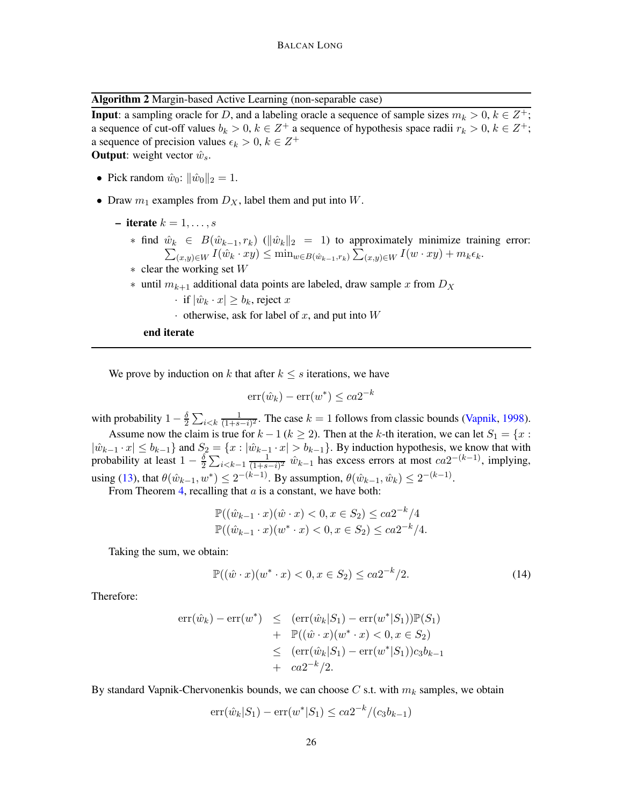Algorithm 2 Margin-based Active Learning (non-separable case)

**Input**: a sampling oracle for D, and a labeling oracle a sequence of sample sizes  $m_k > 0$ ,  $k \in \mathbb{Z}^+$ ; a sequence of cut-off values  $b_k > 0$ ,  $k \in \mathbb{Z}^+$  a sequence of hypothesis space radii  $r_k > 0$ ,  $k \in \mathbb{Z}^+$ ; a sequence of precision values  $\epsilon_k > 0, k \in \mathbb{Z}^+$ **Output:** weight vector  $\hat{w}_s$ .

- Pick random  $\hat{w}_0$ :  $\|\hat{w}_0\|_2 = 1$ .
- Draw  $m_1$  examples from  $D_X$ , label them and put into W.
	- iterate  $k = 1, \ldots, s$ 
		- ∗ find  $\hat{w}_k$  ∈  $B(\hat{w}_{k-1}, r_k)$  ( $\|\hat{w}_k\|_2 = 1$ ) to approximately minimize training error:  $\hat{w}_k \in B(\hat{w}_{k-1}, r_k)$  ( $\|\hat{w}_k\|_2 = 1$ ) to approximately minimize training error:<br>  $\sum_{(x,y)\in W} I(\hat{w}_k \cdot xy) \le \min_{w \in B(\hat{w}_{k-1}, r_k)} \sum_{(x,y)\in W} I(w \cdot xy) + m_k \epsilon_k$ .
		- $*$  clear the working set  $W$
		- ∗ until  $m_{k+1}$  additional data points are labeled, draw sample x from  $D_X$

· if  $|\hat{w}_k \cdot x| \ge b_k$ , reject x

 $\cdot$  otherwise, ask for label of x, and put into W

end iterate

We prove by induction on k that after  $k \leq s$  iterations, we have

$$
\operatorname{err}(\hat{w}_k) - \operatorname{err}(w^*) \le ca 2^{-k}
$$

with probability  $1 - \frac{\delta}{2} \sum_{i < k} \frac{1}{(1 + s)}$  $\frac{1}{(1+s-i)^2}$ . The case  $k = 1$  follows from classic bounds [\(Vapnik](#page-15-5), [1998](#page-15-5)).

Assume now the claim is true for  $k - 1$  ( $k \ge 2$ ). Then at the k-th iteration, we can let  $S_1 = \{x :$  $|\hat{w}_{k-1} \cdot x| \le b_{k-1}$  and  $S_2 = \{x : |\hat{w}_{k-1} \cdot x| > b_{k-1}\}$ . By induction hypothesis, we know that with probability at least  $1 - \frac{\delta}{2}$  $\frac{\delta}{2} \sum_{i \leq k-1} \frac{1}{(1+s)}$  $\frac{1}{(1+s-i)^2}$   $\hat{w}_{k-1}$  has excess errors at most  $ca2^{-(k-1)}$ , implying, using [\(13\)](#page-24-0), that  $\theta(\hat{w}_{k-1}, w^*) \leq 2^{-(k-1)}$ . By assumption,  $\theta(\hat{w}_{k-1}, \hat{w}_k) \leq 2^{-(k-1)}$ .

From Theorem [4,](#page-5-0) recalling that  $a$  is a constant, we have both:

$$
\mathbb{P}((\hat{w}_{k-1} \cdot x)(\hat{w} \cdot x) < 0, x \in S_2) \leq ca2^{-k}/4
$$
\n
$$
\mathbb{P}((\hat{w}_{k-1} \cdot x)(w^* \cdot x) < 0, x \in S_2) \leq ca2^{-k}/4.
$$

Taking the sum, we obtain:

$$
\mathbb{P}((\hat{w} \cdot x)(w^* \cdot x) < 0, x \in S_2) \le ca 2^{-k}/2. \tag{14}
$$

Therefore:

$$
err(\hat{w}_k) - err(w^*) \le (err(\hat{w}_k|S_1) - err(w^*|S_1))\mathbb{P}(S_1) + \mathbb{P}((\hat{w} \cdot x)(w^* \cdot x) < 0, x \in S_2) \le (err(\hat{w}_k|S_1) - err(w^*|S_1))c_3b_{k-1} + ca2^{-k}/2.
$$

By standard Vapnik-Chervonenkis bounds, we can choose C s.t. with  $m_k$  samples, we obtain

$$
err(\hat{w}_k|S_1) - err(w^*|S_1) \leq ca2^{-k}/(c_3b_{k-1})
$$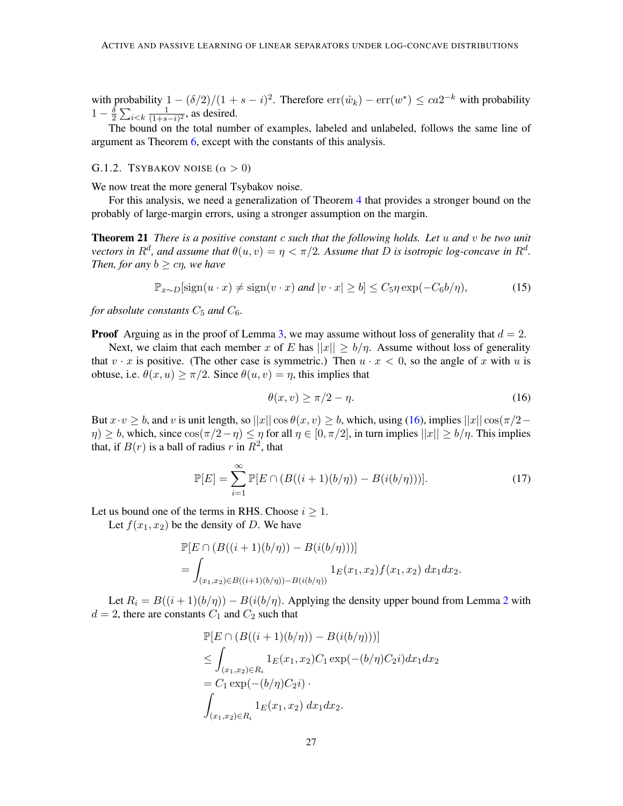with probability  $1 - (\delta/2)/(1 + s - i)^2$ . Therefore  $\text{err}(\hat{w}_k) - \text{err}(w^*) \leq ca2^{-k}$  with probability  $1-\frac{\delta}{2}$  $\frac{\delta}{2} \sum_{i < k} \frac{1}{(1+s)}$  $\frac{1}{(1+s-i)^2}$ , as desired.

The bound on the total number of examples, labeled and unlabeled, follows the same line of argument as Theorem [6,](#page-8-0) except with the constants of this analysis.

## G.1.2. TSYBAKOV NOISE  $(\alpha > 0)$

We now treat the more general Tsybakov noise.

<span id="page-26-2"></span>For this analysis, we need a generalization of Theorem [4](#page-5-0) that provides a stronger bound on the probably of large-margin errors, using a stronger assumption on the margin.

Theorem 21 *There is a positive constant* c *such that the following holds. Let* u *and* v *be two unit vectors in*  $R^d$ , and assume that  $\theta(u, v) = \eta < \pi/2$ . Assume that D is isotropic log-concave in  $R^d$ . *Then, for any*  $b > c\eta$ *, we have* 

$$
\mathbb{P}_{x \sim D}[\text{sign}(u \cdot x) \neq \text{sign}(v \cdot x) \text{ and } |v \cdot x| \geq b] \leq C_5 \eta \exp(-C_6 b/\eta),\tag{15}
$$

*for absolute constants*  $C_5$  *and*  $C_6$ *.* 

**Proof** Arguing as in the proof of Lemma [3,](#page-5-3) we may assume without loss of generality that  $d = 2$ .

Next, we claim that each member x of E has  $||x|| \ge b/\eta$ . Assume without loss of generality that  $v \cdot x$  is positive. (The other case is symmetric.) Then  $u \cdot x < 0$ , so the angle of x with u is obtuse, i.e.  $\theta(x, u) \ge \pi/2$ . Since  $\theta(u, v) = \eta$ , this implies that

<span id="page-26-0"></span>
$$
\theta(x,v) \ge \pi/2 - \eta. \tag{16}
$$

But  $x \cdot v \geq b$ , and v is unit length, so  $||x|| \cos \theta(x, v) \geq b$ , which, using [\(16\)](#page-26-0), implies  $||x|| \cos(\pi/2 \eta$ )  $\geq b$ , which, since  $\cos(\pi/2-\eta) \leq \eta$  for all  $\eta \in [0, \pi/2]$ , in turn implies  $||x|| \geq b/\eta$ . This implies that, if  $B(r)$  is a ball of radius r in  $R^2$ , that

<span id="page-26-1"></span>
$$
\mathbb{P}[E] = \sum_{i=1}^{\infty} \mathbb{P}[E \cap (B((i+1)(b/\eta)) - B(i(b/\eta)))]. \tag{17}
$$

Let us bound one of the terms in RHS. Choose  $i \geq 1$ .

Let  $f(x_1, x_2)$  be the density of D. We have

$$
\mathbb{P}[E \cap (B((i+1)(b/\eta)) - B(i(b/\eta)))]
$$
  
= 
$$
\int_{(x_1,x_2) \in B((i+1)(b/\eta)) - B(i(b/\eta))} 1_E(x_1,x_2) f(x_1,x_2) dx_1 dx_2.
$$

Let  $R_i = B((i + 1)(b/\eta)) - B(i(b/\eta))$ . Applying the density upper bound from Lemma [2](#page-5-2) with  $d = 2$ , there are constants  $C_1$  and  $C_2$  such that

$$
\mathbb{P}[E \cap (B((i+1)(b/\eta)) - B(i(b/\eta)))]
$$
\n
$$
\leq \int_{(x_1, x_2) \in R_i} 1_E(x_1, x_2) C_1 \exp(-(b/\eta)C_2 i) dx_1 dx_2
$$
\n
$$
= C_1 \exp(-(b/\eta)C_2 i) \cdot \int_{(x_1, x_2) \in R_i} 1_E(x_1, x_2) dx_1 dx_2.
$$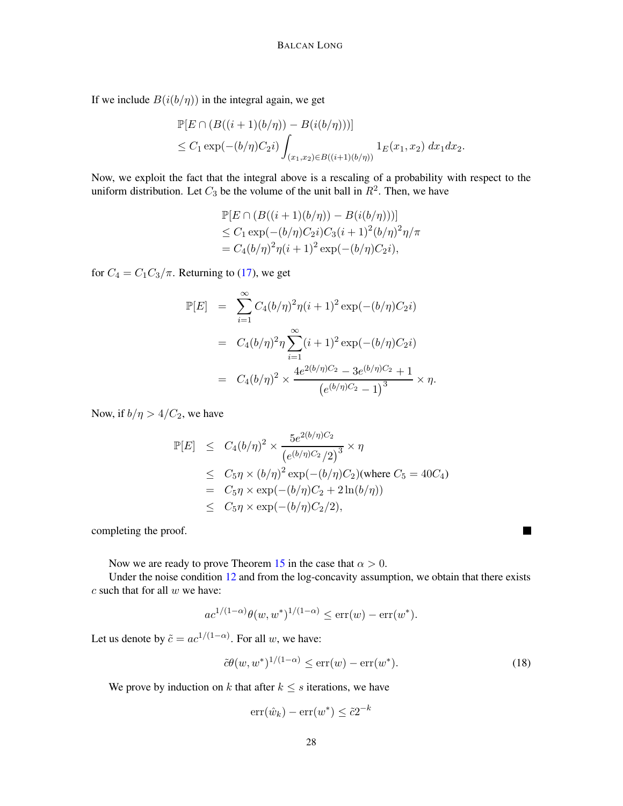If we include  $B(i(b/\eta))$  in the integral again, we get

$$
\mathbb{P}[E \cap (B((i+1)(b/\eta)) - B(i(b/\eta)))]
$$
  
\n
$$
\leq C_1 \exp(-(b/\eta)C_2 i) \int_{(x_1,x_2) \in B((i+1)(b/\eta))} 1_E(x_1,x_2) dx_1 dx_2.
$$

Now, we exploit the fact that the integral above is a rescaling of a probability with respect to the uniform distribution. Let  $C_3$  be the volume of the unit ball in  $R^2$ . Then, we have

$$
\mathbb{P}[E \cap (B((i+1)(b/\eta)) - B(i(b/\eta)))]
$$
  
\n
$$
\leq C_1 \exp(-(b/\eta)C_2i)C_3(i+1)^2(b/\eta)^2\eta/\pi
$$
  
\n
$$
= C_4(b/\eta)^2\eta(i+1)^2\exp(-(b/\eta)C_2i),
$$

for  $C_4 = C_1 C_3 / \pi$ . Returning to [\(17\)](#page-26-1), we get

$$
\mathbb{P}[E] = \sum_{i=1}^{\infty} C_4 (b/\eta)^2 \eta (i+1)^2 \exp(-(b/\eta)C_2 i)
$$
  
=  $C_4 (b/\eta)^2 \eta \sum_{i=1}^{\infty} (i+1)^2 \exp(-(b/\eta)C_2 i)$   
=  $C_4 (b/\eta)^2 \times \frac{4e^{2(b/\eta)C_2} - 3e^{(b/\eta)C_2} + 1}{(e^{(b/\eta)C_2} - 1)^3} \times \eta.$ 

Now, if  $b/\eta > 4/C_2$ , we have

$$
\mathbb{P}[E] \leq C_4 (b/\eta)^2 \times \frac{5e^{2(b/\eta)C_2}}{(e^{(b/\eta)C_2}/2)^3} \times \eta
$$
  
\n
$$
\leq C_5 \eta \times (b/\eta)^2 \exp(-(b/\eta)C_2) \text{ (where } C_5 = 40C_4)
$$
  
\n
$$
= C_5 \eta \times \exp(-(b/\eta)C_2 + 2\ln(b/\eta))
$$
  
\n
$$
\leq C_5 \eta \times \exp(-(b/\eta)C_2/2),
$$

completing the proof.

Now we are ready to prove Theorem [15](#page-11-4) in the case that  $\alpha > 0$ .

Under the noise condition [12](#page-24-1) and from the log-concavity assumption, we obtain that there exists  $c$  such that for all  $w$  we have:

$$
ac^{1/(1-\alpha)}\theta(w,w^*)^{1/(1-\alpha)} \le \text{err}(w) - \text{err}(w^*).
$$

Let us denote by  $\tilde{c} = ac^{1/(1-\alpha)}$ . For all w, we have:

$$
\tilde{c}\theta(w, w^*)^{1/(1-\alpha)} \le \text{err}(w) - \text{err}(w^*). \tag{18}
$$

 $\blacksquare$ 

We prove by induction on k that after  $k \leq s$  iterations, we have

$$
\operatorname{err}(\hat{w}_k) - \operatorname{err}(w^*) \le \tilde{c} 2^{-k}
$$